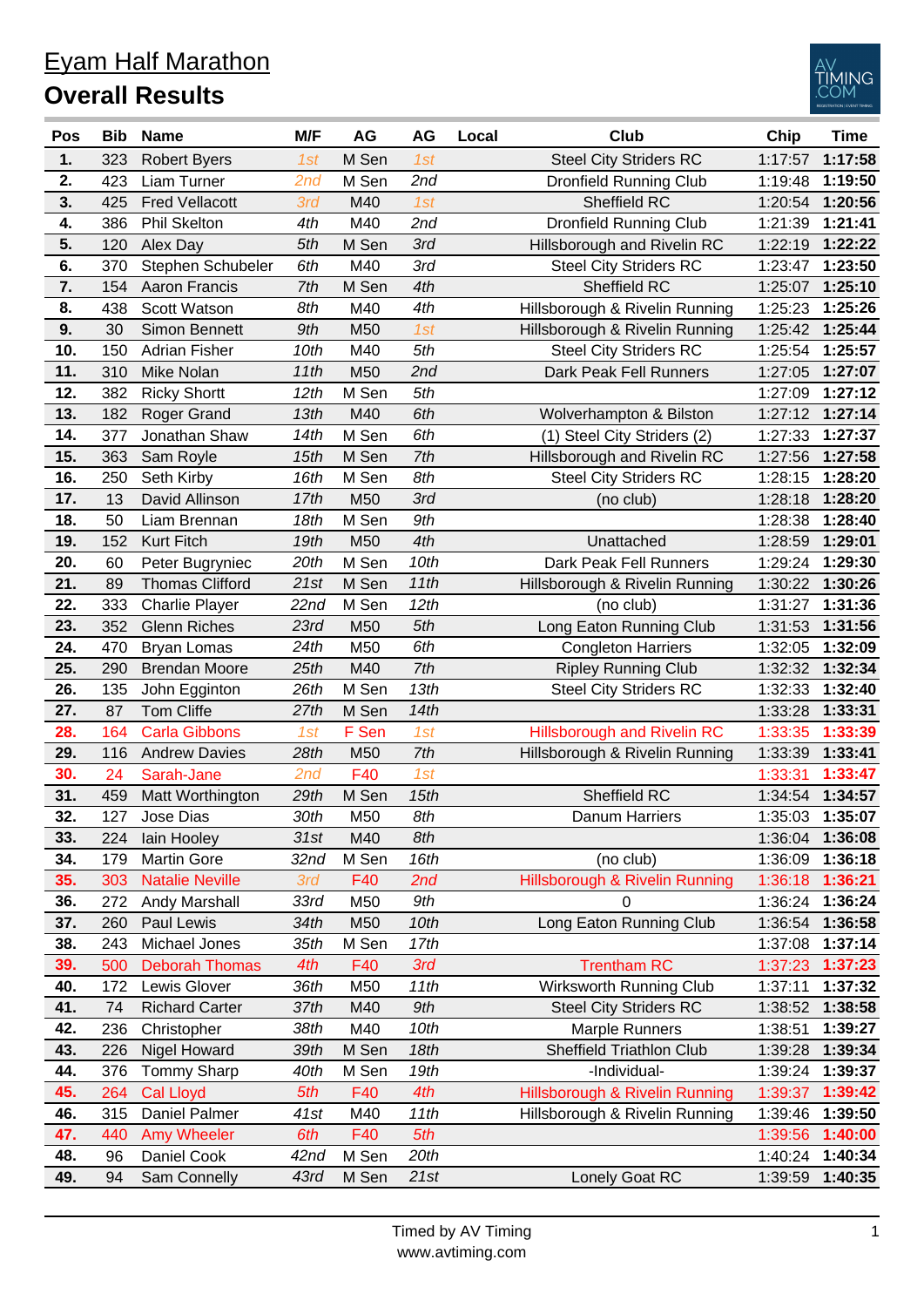| <u>Eyam Half Marathon</u> |
|---------------------------|
| <b>Overall Results</b>    |



| M Sen<br><b>Steel City Striders RC</b><br>323<br><b>Robert Byers</b><br>1st<br>1:17:57<br>1:17:58<br>1.<br>1st<br>2.<br>2nd<br>1:19:50<br>423<br>Liam Turner<br>2nd<br>M Sen<br><b>Dronfield Running Club</b><br>1:19:48<br>3.<br>425<br><b>Fred Vellacott</b><br>3rd<br>M40<br>1st<br>Sheffield RC<br>1:20:56<br>1:20:54<br>2nd<br>4.<br>1:21:41<br>386<br><b>Phil Skelton</b><br>4th<br>M40<br><b>Dronfield Running Club</b><br>1:21:39<br>5.<br>M Sen<br>3rd<br>120<br>5th<br>Hillsborough and Rivelin RC<br>1:22:19<br>1:22:22<br>Alex Day<br>3rd<br>1:23:50<br>6.<br>Stephen Schubeler<br>M40<br><b>Steel City Striders RC</b><br>370<br>6th<br>1:23:47<br>7.<br>4th<br>7th<br>M Sen<br>Sheffield RC<br>1:25:10<br>154<br>Aaron Francis<br>1:25:07<br>4th<br>8.<br>Scott Watson<br>M40<br>Hillsborough & Rivelin Running<br>1:25:26<br>438<br>8th<br>1:25:23<br>9.<br>1:25:44<br>30<br>Simon Bennett<br>9th<br>M50<br>1st<br>Hillsborough & Rivelin Running<br>1:25:42<br>10.<br><b>Steel City Striders RC</b><br>1:25:57<br>150<br><b>Adrian Fisher</b><br>10th<br>M40<br>5th<br>1:25:54<br>11.<br>2nd<br>1:27:07<br>11th<br>M50<br>310<br>Mike Nolan<br>Dark Peak Fell Runners<br>1:27:05<br>5th<br>12.<br>382<br>12th<br>M Sen<br><b>Ricky Shortt</b><br>1:27:09<br>1:27:12<br>13.<br>M40<br>1:27:14<br>182<br>13th<br>6th<br><b>Roger Grand</b><br>Wolverhampton & Bilston<br>1:27:12<br>14.<br>6th<br>1:27:37<br>377<br>Jonathan Shaw<br>14th<br>M Sen<br>(1) Steel City Striders (2)<br>1:27:33<br>7th<br>15.<br>363<br>M Sen<br>Hillsborough and Rivelin RC<br>1:27:58<br>Sam Royle<br>15th<br>1:27:56<br>16.<br>M Sen<br>8th<br><b>Steel City Striders RC</b><br>1:28:20<br>250<br>Seth Kirby<br>16th<br>1:28:15<br>M50<br>3rd<br>17.<br>13<br>David Allinson<br>17th<br>1:28:18<br>1:28:20<br>(no club)<br>18.<br>18th<br>9th<br>1:28:40<br>50<br>M Sen<br>Liam Brennan<br>1:28:38<br>4th<br>19.<br>19th<br>1:29:01<br>152<br><b>Kurt Fitch</b><br>M50<br>1:28:59<br>Unattached<br>M Sen<br>20.<br>10th<br>Dark Peak Fell Runners<br>60<br>Peter Bugryniec<br>20th<br>1:29:24<br>1:29:30<br>21.<br>M Sen<br>11th<br>1:30:26<br>89<br><b>Thomas Clifford</b><br>21st<br>Hillsborough & Rivelin Running<br>1:30:22<br>22.<br>333<br>M Sen<br>12th<br>1:31:36<br><b>Charlie Player</b><br>22 <sub>nd</sub><br>(no club)<br>1:31:27<br>23.<br>5th<br>352<br>23rd<br>M50<br>Long Eaton Running Club<br>1:31:56<br><b>Glenn Riches</b><br>1:31:53<br>24th<br>M50<br>6th<br>24.<br>470<br><b>Congleton Harriers</b><br>1:32:05<br>1:32:09<br><b>Bryan Lomas</b><br>7th<br>25.<br>25th<br>M40<br>290<br><b>Brendan Moore</b><br><b>Ripley Running Club</b><br>1:32:32<br>1:32:34<br>26.<br>26th<br>M Sen<br>13th<br>1:32:40<br>135<br><b>Steel City Striders RC</b><br>1:32:33<br>John Egginton<br>87<br><b>Tom Cliffe</b><br>M Sen<br>14th<br>27.<br>27th<br>1:33:28<br>1:33:31<br>1st<br>28.<br>F Sen<br>1:33:39<br>164<br><b>Carla Gibbons</b><br>1st<br><b>Hillsborough and Rivelin RC</b><br>1:33:35<br>M50<br>7th<br>1:33:41<br>29.<br>116<br><b>Andrew Davies</b><br>28th<br>Hillsborough & Rivelin Running<br>1:33:39<br>F40<br>30.<br>24<br>1st<br>1:33:31<br>1:33:47<br>Sarah-Jane<br>2nd<br>31.<br>1:34:57<br>29th<br>15th<br>Sheffield RC<br>459<br>Matt Worthington<br>M Sen<br>1:34:54<br>32.<br>127<br>30th<br>1:35:03<br>1:35:07<br>M50<br>8th<br><b>Danum Harriers</b><br>Jose Dias<br>33.<br>31st<br>8th<br>1:36:08<br>M40<br>224<br>lain Hooley<br>1:36:04<br>34.<br>179<br><b>Martin Gore</b><br>32nd<br>M Sen<br>16th<br>(no club)<br>1:36:09<br>1:36:18<br>35.<br><b>Natalie Neville</b><br>3rd<br>2nd<br><b>Hillsborough &amp; Rivelin Running</b><br>1:36:21<br>303<br>F40<br>1:36:18<br>9th<br>33rd<br>M50<br>1:36:24<br>36.<br>272<br>Andy Marshall<br>1:36:24<br>0<br>M50<br>10th<br>Long Eaton Running Club<br>1:36:58<br>37.<br>260<br>Paul Lewis<br>34th<br>1:36:54<br>38.<br>17th<br>1:37:14<br>Michael Jones<br>35th<br>M Sen<br>243<br>1:37:08<br><b>Trentham RC</b><br>500<br><b>Deborah Thomas</b><br>F40<br>3rd<br>1:37:23<br>39.<br>4th<br>1:37:23<br>40.<br>36th<br>M50<br>11th<br>Wirksworth Running Club<br>1:37:32<br>172<br>Lewis Glover<br>1:37:11<br><b>Steel City Striders RC</b><br>74<br><b>Richard Carter</b><br>M40<br>1:38:58<br>41.<br>37th<br>9th<br>1:38:52<br>M40<br>42.<br>10th<br><b>Marple Runners</b><br>1:39:27<br>236<br>Christopher<br>38th<br>1:38:51<br>43.<br>Sheffield Triathlon Club<br>Nigel Howard<br>39th<br>M Sen<br>18th<br>1:39:34<br>226<br>1:39:28<br>-Individual-<br>44.<br><b>Tommy Sharp</b><br>40th<br>M Sen<br>19th<br>376<br>1:39:24<br>1:39:37<br>45.<br>5th<br>4th<br>Hillsborough & Rivelin Running<br>1:39:42<br>264<br><b>Cal Lloyd</b><br>F40<br>1:39:37<br>46.<br>Daniel Palmer<br>M40<br>11th<br>Hillsborough & Rivelin Running<br>1:39:50<br>315<br>41st<br>1:39:46<br>47.<br>5th<br>440<br><b>Amy Wheeler</b><br>6th<br>F40<br>1:40:00<br>1:39:56<br>20th<br>Daniel Cook<br>42nd<br>M Sen<br>48.<br>96<br>1:40:24<br>1:40:34<br>49.<br>Sam Connelly<br>M Sen<br>1:40:35<br>94<br>43rd<br>21st<br>Lonely Goat RC<br>1:39:59 | Pos | <b>Bib</b> | <b>Name</b> | M/F | AG | AG | Local | <b>Club</b> | Chip | <b>Time</b> |
|----------------------------------------------------------------------------------------------------------------------------------------------------------------------------------------------------------------------------------------------------------------------------------------------------------------------------------------------------------------------------------------------------------------------------------------------------------------------------------------------------------------------------------------------------------------------------------------------------------------------------------------------------------------------------------------------------------------------------------------------------------------------------------------------------------------------------------------------------------------------------------------------------------------------------------------------------------------------------------------------------------------------------------------------------------------------------------------------------------------------------------------------------------------------------------------------------------------------------------------------------------------------------------------------------------------------------------------------------------------------------------------------------------------------------------------------------------------------------------------------------------------------------------------------------------------------------------------------------------------------------------------------------------------------------------------------------------------------------------------------------------------------------------------------------------------------------------------------------------------------------------------------------------------------------------------------------------------------------------------------------------------------------------------------------------------------------------------------------------------------------------------------------------------------------------------------------------------------------------------------------------------------------------------------------------------------------------------------------------------------------------------------------------------------------------------------------------------------------------------------------------------------------------------------------------------------------------------------------------------------------------------------------------------------------------------------------------------------------------------------------------------------------------------------------------------------------------------------------------------------------------------------------------------------------------------------------------------------------------------------------------------------------------------------------------------------------------------------------------------------------------------------------------------------------------------------------------------------------------------------------------------------------------------------------------------------------------------------------------------------------------------------------------------------------------------------------------------------------------------------------------------------------------------------------------------------------------------------------------------------------------------------------------------------------------------------------------------------------------------------------------------------------------------------------------------------------------------------------------------------------------------------------------------------------------------------------------------------------------------------------------------------------------------------------------------------------------------------------------------------------------------------------------------------------------------------------------------------------------------------------------------------------------------------------------------------------------------------------------------------------------------------------------------------------------------------------------------------------------------------------------------------------------------------------------------------------------------------------------------------------------------------------------------------------------------------------------------------------------------------------------------------------------------------------------------------------------------------------------------------------------------------------------------------------------------------------------------------------------------------------------------------------------------------------------------------------------------------------------------------------|-----|------------|-------------|-----|----|----|-------|-------------|------|-------------|
|                                                                                                                                                                                                                                                                                                                                                                                                                                                                                                                                                                                                                                                                                                                                                                                                                                                                                                                                                                                                                                                                                                                                                                                                                                                                                                                                                                                                                                                                                                                                                                                                                                                                                                                                                                                                                                                                                                                                                                                                                                                                                                                                                                                                                                                                                                                                                                                                                                                                                                                                                                                                                                                                                                                                                                                                                                                                                                                                                                                                                                                                                                                                                                                                                                                                                                                                                                                                                                                                                                                                                                                                                                                                                                                                                                                                                                                                                                                                                                                                                                                                                                                                                                                                                                                                                                                                                                                                                                                                                                                                                                                                                                                                                                                                                                                                                                                                                                                                                                                                                                                                                                                            |     |            |             |     |    |    |       |             |      |             |
|                                                                                                                                                                                                                                                                                                                                                                                                                                                                                                                                                                                                                                                                                                                                                                                                                                                                                                                                                                                                                                                                                                                                                                                                                                                                                                                                                                                                                                                                                                                                                                                                                                                                                                                                                                                                                                                                                                                                                                                                                                                                                                                                                                                                                                                                                                                                                                                                                                                                                                                                                                                                                                                                                                                                                                                                                                                                                                                                                                                                                                                                                                                                                                                                                                                                                                                                                                                                                                                                                                                                                                                                                                                                                                                                                                                                                                                                                                                                                                                                                                                                                                                                                                                                                                                                                                                                                                                                                                                                                                                                                                                                                                                                                                                                                                                                                                                                                                                                                                                                                                                                                                                            |     |            |             |     |    |    |       |             |      |             |
|                                                                                                                                                                                                                                                                                                                                                                                                                                                                                                                                                                                                                                                                                                                                                                                                                                                                                                                                                                                                                                                                                                                                                                                                                                                                                                                                                                                                                                                                                                                                                                                                                                                                                                                                                                                                                                                                                                                                                                                                                                                                                                                                                                                                                                                                                                                                                                                                                                                                                                                                                                                                                                                                                                                                                                                                                                                                                                                                                                                                                                                                                                                                                                                                                                                                                                                                                                                                                                                                                                                                                                                                                                                                                                                                                                                                                                                                                                                                                                                                                                                                                                                                                                                                                                                                                                                                                                                                                                                                                                                                                                                                                                                                                                                                                                                                                                                                                                                                                                                                                                                                                                                            |     |            |             |     |    |    |       |             |      |             |
|                                                                                                                                                                                                                                                                                                                                                                                                                                                                                                                                                                                                                                                                                                                                                                                                                                                                                                                                                                                                                                                                                                                                                                                                                                                                                                                                                                                                                                                                                                                                                                                                                                                                                                                                                                                                                                                                                                                                                                                                                                                                                                                                                                                                                                                                                                                                                                                                                                                                                                                                                                                                                                                                                                                                                                                                                                                                                                                                                                                                                                                                                                                                                                                                                                                                                                                                                                                                                                                                                                                                                                                                                                                                                                                                                                                                                                                                                                                                                                                                                                                                                                                                                                                                                                                                                                                                                                                                                                                                                                                                                                                                                                                                                                                                                                                                                                                                                                                                                                                                                                                                                                                            |     |            |             |     |    |    |       |             |      |             |
|                                                                                                                                                                                                                                                                                                                                                                                                                                                                                                                                                                                                                                                                                                                                                                                                                                                                                                                                                                                                                                                                                                                                                                                                                                                                                                                                                                                                                                                                                                                                                                                                                                                                                                                                                                                                                                                                                                                                                                                                                                                                                                                                                                                                                                                                                                                                                                                                                                                                                                                                                                                                                                                                                                                                                                                                                                                                                                                                                                                                                                                                                                                                                                                                                                                                                                                                                                                                                                                                                                                                                                                                                                                                                                                                                                                                                                                                                                                                                                                                                                                                                                                                                                                                                                                                                                                                                                                                                                                                                                                                                                                                                                                                                                                                                                                                                                                                                                                                                                                                                                                                                                                            |     |            |             |     |    |    |       |             |      |             |
|                                                                                                                                                                                                                                                                                                                                                                                                                                                                                                                                                                                                                                                                                                                                                                                                                                                                                                                                                                                                                                                                                                                                                                                                                                                                                                                                                                                                                                                                                                                                                                                                                                                                                                                                                                                                                                                                                                                                                                                                                                                                                                                                                                                                                                                                                                                                                                                                                                                                                                                                                                                                                                                                                                                                                                                                                                                                                                                                                                                                                                                                                                                                                                                                                                                                                                                                                                                                                                                                                                                                                                                                                                                                                                                                                                                                                                                                                                                                                                                                                                                                                                                                                                                                                                                                                                                                                                                                                                                                                                                                                                                                                                                                                                                                                                                                                                                                                                                                                                                                                                                                                                                            |     |            |             |     |    |    |       |             |      |             |
|                                                                                                                                                                                                                                                                                                                                                                                                                                                                                                                                                                                                                                                                                                                                                                                                                                                                                                                                                                                                                                                                                                                                                                                                                                                                                                                                                                                                                                                                                                                                                                                                                                                                                                                                                                                                                                                                                                                                                                                                                                                                                                                                                                                                                                                                                                                                                                                                                                                                                                                                                                                                                                                                                                                                                                                                                                                                                                                                                                                                                                                                                                                                                                                                                                                                                                                                                                                                                                                                                                                                                                                                                                                                                                                                                                                                                                                                                                                                                                                                                                                                                                                                                                                                                                                                                                                                                                                                                                                                                                                                                                                                                                                                                                                                                                                                                                                                                                                                                                                                                                                                                                                            |     |            |             |     |    |    |       |             |      |             |
|                                                                                                                                                                                                                                                                                                                                                                                                                                                                                                                                                                                                                                                                                                                                                                                                                                                                                                                                                                                                                                                                                                                                                                                                                                                                                                                                                                                                                                                                                                                                                                                                                                                                                                                                                                                                                                                                                                                                                                                                                                                                                                                                                                                                                                                                                                                                                                                                                                                                                                                                                                                                                                                                                                                                                                                                                                                                                                                                                                                                                                                                                                                                                                                                                                                                                                                                                                                                                                                                                                                                                                                                                                                                                                                                                                                                                                                                                                                                                                                                                                                                                                                                                                                                                                                                                                                                                                                                                                                                                                                                                                                                                                                                                                                                                                                                                                                                                                                                                                                                                                                                                                                            |     |            |             |     |    |    |       |             |      |             |
|                                                                                                                                                                                                                                                                                                                                                                                                                                                                                                                                                                                                                                                                                                                                                                                                                                                                                                                                                                                                                                                                                                                                                                                                                                                                                                                                                                                                                                                                                                                                                                                                                                                                                                                                                                                                                                                                                                                                                                                                                                                                                                                                                                                                                                                                                                                                                                                                                                                                                                                                                                                                                                                                                                                                                                                                                                                                                                                                                                                                                                                                                                                                                                                                                                                                                                                                                                                                                                                                                                                                                                                                                                                                                                                                                                                                                                                                                                                                                                                                                                                                                                                                                                                                                                                                                                                                                                                                                                                                                                                                                                                                                                                                                                                                                                                                                                                                                                                                                                                                                                                                                                                            |     |            |             |     |    |    |       |             |      |             |
|                                                                                                                                                                                                                                                                                                                                                                                                                                                                                                                                                                                                                                                                                                                                                                                                                                                                                                                                                                                                                                                                                                                                                                                                                                                                                                                                                                                                                                                                                                                                                                                                                                                                                                                                                                                                                                                                                                                                                                                                                                                                                                                                                                                                                                                                                                                                                                                                                                                                                                                                                                                                                                                                                                                                                                                                                                                                                                                                                                                                                                                                                                                                                                                                                                                                                                                                                                                                                                                                                                                                                                                                                                                                                                                                                                                                                                                                                                                                                                                                                                                                                                                                                                                                                                                                                                                                                                                                                                                                                                                                                                                                                                                                                                                                                                                                                                                                                                                                                                                                                                                                                                                            |     |            |             |     |    |    |       |             |      |             |
|                                                                                                                                                                                                                                                                                                                                                                                                                                                                                                                                                                                                                                                                                                                                                                                                                                                                                                                                                                                                                                                                                                                                                                                                                                                                                                                                                                                                                                                                                                                                                                                                                                                                                                                                                                                                                                                                                                                                                                                                                                                                                                                                                                                                                                                                                                                                                                                                                                                                                                                                                                                                                                                                                                                                                                                                                                                                                                                                                                                                                                                                                                                                                                                                                                                                                                                                                                                                                                                                                                                                                                                                                                                                                                                                                                                                                                                                                                                                                                                                                                                                                                                                                                                                                                                                                                                                                                                                                                                                                                                                                                                                                                                                                                                                                                                                                                                                                                                                                                                                                                                                                                                            |     |            |             |     |    |    |       |             |      |             |
|                                                                                                                                                                                                                                                                                                                                                                                                                                                                                                                                                                                                                                                                                                                                                                                                                                                                                                                                                                                                                                                                                                                                                                                                                                                                                                                                                                                                                                                                                                                                                                                                                                                                                                                                                                                                                                                                                                                                                                                                                                                                                                                                                                                                                                                                                                                                                                                                                                                                                                                                                                                                                                                                                                                                                                                                                                                                                                                                                                                                                                                                                                                                                                                                                                                                                                                                                                                                                                                                                                                                                                                                                                                                                                                                                                                                                                                                                                                                                                                                                                                                                                                                                                                                                                                                                                                                                                                                                                                                                                                                                                                                                                                                                                                                                                                                                                                                                                                                                                                                                                                                                                                            |     |            |             |     |    |    |       |             |      |             |
|                                                                                                                                                                                                                                                                                                                                                                                                                                                                                                                                                                                                                                                                                                                                                                                                                                                                                                                                                                                                                                                                                                                                                                                                                                                                                                                                                                                                                                                                                                                                                                                                                                                                                                                                                                                                                                                                                                                                                                                                                                                                                                                                                                                                                                                                                                                                                                                                                                                                                                                                                                                                                                                                                                                                                                                                                                                                                                                                                                                                                                                                                                                                                                                                                                                                                                                                                                                                                                                                                                                                                                                                                                                                                                                                                                                                                                                                                                                                                                                                                                                                                                                                                                                                                                                                                                                                                                                                                                                                                                                                                                                                                                                                                                                                                                                                                                                                                                                                                                                                                                                                                                                            |     |            |             |     |    |    |       |             |      |             |
|                                                                                                                                                                                                                                                                                                                                                                                                                                                                                                                                                                                                                                                                                                                                                                                                                                                                                                                                                                                                                                                                                                                                                                                                                                                                                                                                                                                                                                                                                                                                                                                                                                                                                                                                                                                                                                                                                                                                                                                                                                                                                                                                                                                                                                                                                                                                                                                                                                                                                                                                                                                                                                                                                                                                                                                                                                                                                                                                                                                                                                                                                                                                                                                                                                                                                                                                                                                                                                                                                                                                                                                                                                                                                                                                                                                                                                                                                                                                                                                                                                                                                                                                                                                                                                                                                                                                                                                                                                                                                                                                                                                                                                                                                                                                                                                                                                                                                                                                                                                                                                                                                                                            |     |            |             |     |    |    |       |             |      |             |
|                                                                                                                                                                                                                                                                                                                                                                                                                                                                                                                                                                                                                                                                                                                                                                                                                                                                                                                                                                                                                                                                                                                                                                                                                                                                                                                                                                                                                                                                                                                                                                                                                                                                                                                                                                                                                                                                                                                                                                                                                                                                                                                                                                                                                                                                                                                                                                                                                                                                                                                                                                                                                                                                                                                                                                                                                                                                                                                                                                                                                                                                                                                                                                                                                                                                                                                                                                                                                                                                                                                                                                                                                                                                                                                                                                                                                                                                                                                                                                                                                                                                                                                                                                                                                                                                                                                                                                                                                                                                                                                                                                                                                                                                                                                                                                                                                                                                                                                                                                                                                                                                                                                            |     |            |             |     |    |    |       |             |      |             |
|                                                                                                                                                                                                                                                                                                                                                                                                                                                                                                                                                                                                                                                                                                                                                                                                                                                                                                                                                                                                                                                                                                                                                                                                                                                                                                                                                                                                                                                                                                                                                                                                                                                                                                                                                                                                                                                                                                                                                                                                                                                                                                                                                                                                                                                                                                                                                                                                                                                                                                                                                                                                                                                                                                                                                                                                                                                                                                                                                                                                                                                                                                                                                                                                                                                                                                                                                                                                                                                                                                                                                                                                                                                                                                                                                                                                                                                                                                                                                                                                                                                                                                                                                                                                                                                                                                                                                                                                                                                                                                                                                                                                                                                                                                                                                                                                                                                                                                                                                                                                                                                                                                                            |     |            |             |     |    |    |       |             |      |             |
|                                                                                                                                                                                                                                                                                                                                                                                                                                                                                                                                                                                                                                                                                                                                                                                                                                                                                                                                                                                                                                                                                                                                                                                                                                                                                                                                                                                                                                                                                                                                                                                                                                                                                                                                                                                                                                                                                                                                                                                                                                                                                                                                                                                                                                                                                                                                                                                                                                                                                                                                                                                                                                                                                                                                                                                                                                                                                                                                                                                                                                                                                                                                                                                                                                                                                                                                                                                                                                                                                                                                                                                                                                                                                                                                                                                                                                                                                                                                                                                                                                                                                                                                                                                                                                                                                                                                                                                                                                                                                                                                                                                                                                                                                                                                                                                                                                                                                                                                                                                                                                                                                                                            |     |            |             |     |    |    |       |             |      |             |
|                                                                                                                                                                                                                                                                                                                                                                                                                                                                                                                                                                                                                                                                                                                                                                                                                                                                                                                                                                                                                                                                                                                                                                                                                                                                                                                                                                                                                                                                                                                                                                                                                                                                                                                                                                                                                                                                                                                                                                                                                                                                                                                                                                                                                                                                                                                                                                                                                                                                                                                                                                                                                                                                                                                                                                                                                                                                                                                                                                                                                                                                                                                                                                                                                                                                                                                                                                                                                                                                                                                                                                                                                                                                                                                                                                                                                                                                                                                                                                                                                                                                                                                                                                                                                                                                                                                                                                                                                                                                                                                                                                                                                                                                                                                                                                                                                                                                                                                                                                                                                                                                                                                            |     |            |             |     |    |    |       |             |      |             |
|                                                                                                                                                                                                                                                                                                                                                                                                                                                                                                                                                                                                                                                                                                                                                                                                                                                                                                                                                                                                                                                                                                                                                                                                                                                                                                                                                                                                                                                                                                                                                                                                                                                                                                                                                                                                                                                                                                                                                                                                                                                                                                                                                                                                                                                                                                                                                                                                                                                                                                                                                                                                                                                                                                                                                                                                                                                                                                                                                                                                                                                                                                                                                                                                                                                                                                                                                                                                                                                                                                                                                                                                                                                                                                                                                                                                                                                                                                                                                                                                                                                                                                                                                                                                                                                                                                                                                                                                                                                                                                                                                                                                                                                                                                                                                                                                                                                                                                                                                                                                                                                                                                                            |     |            |             |     |    |    |       |             |      |             |
|                                                                                                                                                                                                                                                                                                                                                                                                                                                                                                                                                                                                                                                                                                                                                                                                                                                                                                                                                                                                                                                                                                                                                                                                                                                                                                                                                                                                                                                                                                                                                                                                                                                                                                                                                                                                                                                                                                                                                                                                                                                                                                                                                                                                                                                                                                                                                                                                                                                                                                                                                                                                                                                                                                                                                                                                                                                                                                                                                                                                                                                                                                                                                                                                                                                                                                                                                                                                                                                                                                                                                                                                                                                                                                                                                                                                                                                                                                                                                                                                                                                                                                                                                                                                                                                                                                                                                                                                                                                                                                                                                                                                                                                                                                                                                                                                                                                                                                                                                                                                                                                                                                                            |     |            |             |     |    |    |       |             |      |             |
|                                                                                                                                                                                                                                                                                                                                                                                                                                                                                                                                                                                                                                                                                                                                                                                                                                                                                                                                                                                                                                                                                                                                                                                                                                                                                                                                                                                                                                                                                                                                                                                                                                                                                                                                                                                                                                                                                                                                                                                                                                                                                                                                                                                                                                                                                                                                                                                                                                                                                                                                                                                                                                                                                                                                                                                                                                                                                                                                                                                                                                                                                                                                                                                                                                                                                                                                                                                                                                                                                                                                                                                                                                                                                                                                                                                                                                                                                                                                                                                                                                                                                                                                                                                                                                                                                                                                                                                                                                                                                                                                                                                                                                                                                                                                                                                                                                                                                                                                                                                                                                                                                                                            |     |            |             |     |    |    |       |             |      |             |
|                                                                                                                                                                                                                                                                                                                                                                                                                                                                                                                                                                                                                                                                                                                                                                                                                                                                                                                                                                                                                                                                                                                                                                                                                                                                                                                                                                                                                                                                                                                                                                                                                                                                                                                                                                                                                                                                                                                                                                                                                                                                                                                                                                                                                                                                                                                                                                                                                                                                                                                                                                                                                                                                                                                                                                                                                                                                                                                                                                                                                                                                                                                                                                                                                                                                                                                                                                                                                                                                                                                                                                                                                                                                                                                                                                                                                                                                                                                                                                                                                                                                                                                                                                                                                                                                                                                                                                                                                                                                                                                                                                                                                                                                                                                                                                                                                                                                                                                                                                                                                                                                                                                            |     |            |             |     |    |    |       |             |      |             |
|                                                                                                                                                                                                                                                                                                                                                                                                                                                                                                                                                                                                                                                                                                                                                                                                                                                                                                                                                                                                                                                                                                                                                                                                                                                                                                                                                                                                                                                                                                                                                                                                                                                                                                                                                                                                                                                                                                                                                                                                                                                                                                                                                                                                                                                                                                                                                                                                                                                                                                                                                                                                                                                                                                                                                                                                                                                                                                                                                                                                                                                                                                                                                                                                                                                                                                                                                                                                                                                                                                                                                                                                                                                                                                                                                                                                                                                                                                                                                                                                                                                                                                                                                                                                                                                                                                                                                                                                                                                                                                                                                                                                                                                                                                                                                                                                                                                                                                                                                                                                                                                                                                                            |     |            |             |     |    |    |       |             |      |             |
|                                                                                                                                                                                                                                                                                                                                                                                                                                                                                                                                                                                                                                                                                                                                                                                                                                                                                                                                                                                                                                                                                                                                                                                                                                                                                                                                                                                                                                                                                                                                                                                                                                                                                                                                                                                                                                                                                                                                                                                                                                                                                                                                                                                                                                                                                                                                                                                                                                                                                                                                                                                                                                                                                                                                                                                                                                                                                                                                                                                                                                                                                                                                                                                                                                                                                                                                                                                                                                                                                                                                                                                                                                                                                                                                                                                                                                                                                                                                                                                                                                                                                                                                                                                                                                                                                                                                                                                                                                                                                                                                                                                                                                                                                                                                                                                                                                                                                                                                                                                                                                                                                                                            |     |            |             |     |    |    |       |             |      |             |
|                                                                                                                                                                                                                                                                                                                                                                                                                                                                                                                                                                                                                                                                                                                                                                                                                                                                                                                                                                                                                                                                                                                                                                                                                                                                                                                                                                                                                                                                                                                                                                                                                                                                                                                                                                                                                                                                                                                                                                                                                                                                                                                                                                                                                                                                                                                                                                                                                                                                                                                                                                                                                                                                                                                                                                                                                                                                                                                                                                                                                                                                                                                                                                                                                                                                                                                                                                                                                                                                                                                                                                                                                                                                                                                                                                                                                                                                                                                                                                                                                                                                                                                                                                                                                                                                                                                                                                                                                                                                                                                                                                                                                                                                                                                                                                                                                                                                                                                                                                                                                                                                                                                            |     |            |             |     |    |    |       |             |      |             |
|                                                                                                                                                                                                                                                                                                                                                                                                                                                                                                                                                                                                                                                                                                                                                                                                                                                                                                                                                                                                                                                                                                                                                                                                                                                                                                                                                                                                                                                                                                                                                                                                                                                                                                                                                                                                                                                                                                                                                                                                                                                                                                                                                                                                                                                                                                                                                                                                                                                                                                                                                                                                                                                                                                                                                                                                                                                                                                                                                                                                                                                                                                                                                                                                                                                                                                                                                                                                                                                                                                                                                                                                                                                                                                                                                                                                                                                                                                                                                                                                                                                                                                                                                                                                                                                                                                                                                                                                                                                                                                                                                                                                                                                                                                                                                                                                                                                                                                                                                                                                                                                                                                                            |     |            |             |     |    |    |       |             |      |             |
|                                                                                                                                                                                                                                                                                                                                                                                                                                                                                                                                                                                                                                                                                                                                                                                                                                                                                                                                                                                                                                                                                                                                                                                                                                                                                                                                                                                                                                                                                                                                                                                                                                                                                                                                                                                                                                                                                                                                                                                                                                                                                                                                                                                                                                                                                                                                                                                                                                                                                                                                                                                                                                                                                                                                                                                                                                                                                                                                                                                                                                                                                                                                                                                                                                                                                                                                                                                                                                                                                                                                                                                                                                                                                                                                                                                                                                                                                                                                                                                                                                                                                                                                                                                                                                                                                                                                                                                                                                                                                                                                                                                                                                                                                                                                                                                                                                                                                                                                                                                                                                                                                                                            |     |            |             |     |    |    |       |             |      |             |
|                                                                                                                                                                                                                                                                                                                                                                                                                                                                                                                                                                                                                                                                                                                                                                                                                                                                                                                                                                                                                                                                                                                                                                                                                                                                                                                                                                                                                                                                                                                                                                                                                                                                                                                                                                                                                                                                                                                                                                                                                                                                                                                                                                                                                                                                                                                                                                                                                                                                                                                                                                                                                                                                                                                                                                                                                                                                                                                                                                                                                                                                                                                                                                                                                                                                                                                                                                                                                                                                                                                                                                                                                                                                                                                                                                                                                                                                                                                                                                                                                                                                                                                                                                                                                                                                                                                                                                                                                                                                                                                                                                                                                                                                                                                                                                                                                                                                                                                                                                                                                                                                                                                            |     |            |             |     |    |    |       |             |      |             |
|                                                                                                                                                                                                                                                                                                                                                                                                                                                                                                                                                                                                                                                                                                                                                                                                                                                                                                                                                                                                                                                                                                                                                                                                                                                                                                                                                                                                                                                                                                                                                                                                                                                                                                                                                                                                                                                                                                                                                                                                                                                                                                                                                                                                                                                                                                                                                                                                                                                                                                                                                                                                                                                                                                                                                                                                                                                                                                                                                                                                                                                                                                                                                                                                                                                                                                                                                                                                                                                                                                                                                                                                                                                                                                                                                                                                                                                                                                                                                                                                                                                                                                                                                                                                                                                                                                                                                                                                                                                                                                                                                                                                                                                                                                                                                                                                                                                                                                                                                                                                                                                                                                                            |     |            |             |     |    |    |       |             |      |             |
|                                                                                                                                                                                                                                                                                                                                                                                                                                                                                                                                                                                                                                                                                                                                                                                                                                                                                                                                                                                                                                                                                                                                                                                                                                                                                                                                                                                                                                                                                                                                                                                                                                                                                                                                                                                                                                                                                                                                                                                                                                                                                                                                                                                                                                                                                                                                                                                                                                                                                                                                                                                                                                                                                                                                                                                                                                                                                                                                                                                                                                                                                                                                                                                                                                                                                                                                                                                                                                                                                                                                                                                                                                                                                                                                                                                                                                                                                                                                                                                                                                                                                                                                                                                                                                                                                                                                                                                                                                                                                                                                                                                                                                                                                                                                                                                                                                                                                                                                                                                                                                                                                                                            |     |            |             |     |    |    |       |             |      |             |
|                                                                                                                                                                                                                                                                                                                                                                                                                                                                                                                                                                                                                                                                                                                                                                                                                                                                                                                                                                                                                                                                                                                                                                                                                                                                                                                                                                                                                                                                                                                                                                                                                                                                                                                                                                                                                                                                                                                                                                                                                                                                                                                                                                                                                                                                                                                                                                                                                                                                                                                                                                                                                                                                                                                                                                                                                                                                                                                                                                                                                                                                                                                                                                                                                                                                                                                                                                                                                                                                                                                                                                                                                                                                                                                                                                                                                                                                                                                                                                                                                                                                                                                                                                                                                                                                                                                                                                                                                                                                                                                                                                                                                                                                                                                                                                                                                                                                                                                                                                                                                                                                                                                            |     |            |             |     |    |    |       |             |      |             |
|                                                                                                                                                                                                                                                                                                                                                                                                                                                                                                                                                                                                                                                                                                                                                                                                                                                                                                                                                                                                                                                                                                                                                                                                                                                                                                                                                                                                                                                                                                                                                                                                                                                                                                                                                                                                                                                                                                                                                                                                                                                                                                                                                                                                                                                                                                                                                                                                                                                                                                                                                                                                                                                                                                                                                                                                                                                                                                                                                                                                                                                                                                                                                                                                                                                                                                                                                                                                                                                                                                                                                                                                                                                                                                                                                                                                                                                                                                                                                                                                                                                                                                                                                                                                                                                                                                                                                                                                                                                                                                                                                                                                                                                                                                                                                                                                                                                                                                                                                                                                                                                                                                                            |     |            |             |     |    |    |       |             |      |             |
|                                                                                                                                                                                                                                                                                                                                                                                                                                                                                                                                                                                                                                                                                                                                                                                                                                                                                                                                                                                                                                                                                                                                                                                                                                                                                                                                                                                                                                                                                                                                                                                                                                                                                                                                                                                                                                                                                                                                                                                                                                                                                                                                                                                                                                                                                                                                                                                                                                                                                                                                                                                                                                                                                                                                                                                                                                                                                                                                                                                                                                                                                                                                                                                                                                                                                                                                                                                                                                                                                                                                                                                                                                                                                                                                                                                                                                                                                                                                                                                                                                                                                                                                                                                                                                                                                                                                                                                                                                                                                                                                                                                                                                                                                                                                                                                                                                                                                                                                                                                                                                                                                                                            |     |            |             |     |    |    |       |             |      |             |
|                                                                                                                                                                                                                                                                                                                                                                                                                                                                                                                                                                                                                                                                                                                                                                                                                                                                                                                                                                                                                                                                                                                                                                                                                                                                                                                                                                                                                                                                                                                                                                                                                                                                                                                                                                                                                                                                                                                                                                                                                                                                                                                                                                                                                                                                                                                                                                                                                                                                                                                                                                                                                                                                                                                                                                                                                                                                                                                                                                                                                                                                                                                                                                                                                                                                                                                                                                                                                                                                                                                                                                                                                                                                                                                                                                                                                                                                                                                                                                                                                                                                                                                                                                                                                                                                                                                                                                                                                                                                                                                                                                                                                                                                                                                                                                                                                                                                                                                                                                                                                                                                                                                            |     |            |             |     |    |    |       |             |      |             |
|                                                                                                                                                                                                                                                                                                                                                                                                                                                                                                                                                                                                                                                                                                                                                                                                                                                                                                                                                                                                                                                                                                                                                                                                                                                                                                                                                                                                                                                                                                                                                                                                                                                                                                                                                                                                                                                                                                                                                                                                                                                                                                                                                                                                                                                                                                                                                                                                                                                                                                                                                                                                                                                                                                                                                                                                                                                                                                                                                                                                                                                                                                                                                                                                                                                                                                                                                                                                                                                                                                                                                                                                                                                                                                                                                                                                                                                                                                                                                                                                                                                                                                                                                                                                                                                                                                                                                                                                                                                                                                                                                                                                                                                                                                                                                                                                                                                                                                                                                                                                                                                                                                                            |     |            |             |     |    |    |       |             |      |             |
|                                                                                                                                                                                                                                                                                                                                                                                                                                                                                                                                                                                                                                                                                                                                                                                                                                                                                                                                                                                                                                                                                                                                                                                                                                                                                                                                                                                                                                                                                                                                                                                                                                                                                                                                                                                                                                                                                                                                                                                                                                                                                                                                                                                                                                                                                                                                                                                                                                                                                                                                                                                                                                                                                                                                                                                                                                                                                                                                                                                                                                                                                                                                                                                                                                                                                                                                                                                                                                                                                                                                                                                                                                                                                                                                                                                                                                                                                                                                                                                                                                                                                                                                                                                                                                                                                                                                                                                                                                                                                                                                                                                                                                                                                                                                                                                                                                                                                                                                                                                                                                                                                                                            |     |            |             |     |    |    |       |             |      |             |
|                                                                                                                                                                                                                                                                                                                                                                                                                                                                                                                                                                                                                                                                                                                                                                                                                                                                                                                                                                                                                                                                                                                                                                                                                                                                                                                                                                                                                                                                                                                                                                                                                                                                                                                                                                                                                                                                                                                                                                                                                                                                                                                                                                                                                                                                                                                                                                                                                                                                                                                                                                                                                                                                                                                                                                                                                                                                                                                                                                                                                                                                                                                                                                                                                                                                                                                                                                                                                                                                                                                                                                                                                                                                                                                                                                                                                                                                                                                                                                                                                                                                                                                                                                                                                                                                                                                                                                                                                                                                                                                                                                                                                                                                                                                                                                                                                                                                                                                                                                                                                                                                                                                            |     |            |             |     |    |    |       |             |      |             |
|                                                                                                                                                                                                                                                                                                                                                                                                                                                                                                                                                                                                                                                                                                                                                                                                                                                                                                                                                                                                                                                                                                                                                                                                                                                                                                                                                                                                                                                                                                                                                                                                                                                                                                                                                                                                                                                                                                                                                                                                                                                                                                                                                                                                                                                                                                                                                                                                                                                                                                                                                                                                                                                                                                                                                                                                                                                                                                                                                                                                                                                                                                                                                                                                                                                                                                                                                                                                                                                                                                                                                                                                                                                                                                                                                                                                                                                                                                                                                                                                                                                                                                                                                                                                                                                                                                                                                                                                                                                                                                                                                                                                                                                                                                                                                                                                                                                                                                                                                                                                                                                                                                                            |     |            |             |     |    |    |       |             |      |             |
|                                                                                                                                                                                                                                                                                                                                                                                                                                                                                                                                                                                                                                                                                                                                                                                                                                                                                                                                                                                                                                                                                                                                                                                                                                                                                                                                                                                                                                                                                                                                                                                                                                                                                                                                                                                                                                                                                                                                                                                                                                                                                                                                                                                                                                                                                                                                                                                                                                                                                                                                                                                                                                                                                                                                                                                                                                                                                                                                                                                                                                                                                                                                                                                                                                                                                                                                                                                                                                                                                                                                                                                                                                                                                                                                                                                                                                                                                                                                                                                                                                                                                                                                                                                                                                                                                                                                                                                                                                                                                                                                                                                                                                                                                                                                                                                                                                                                                                                                                                                                                                                                                                                            |     |            |             |     |    |    |       |             |      |             |
|                                                                                                                                                                                                                                                                                                                                                                                                                                                                                                                                                                                                                                                                                                                                                                                                                                                                                                                                                                                                                                                                                                                                                                                                                                                                                                                                                                                                                                                                                                                                                                                                                                                                                                                                                                                                                                                                                                                                                                                                                                                                                                                                                                                                                                                                                                                                                                                                                                                                                                                                                                                                                                                                                                                                                                                                                                                                                                                                                                                                                                                                                                                                                                                                                                                                                                                                                                                                                                                                                                                                                                                                                                                                                                                                                                                                                                                                                                                                                                                                                                                                                                                                                                                                                                                                                                                                                                                                                                                                                                                                                                                                                                                                                                                                                                                                                                                                                                                                                                                                                                                                                                                            |     |            |             |     |    |    |       |             |      |             |
|                                                                                                                                                                                                                                                                                                                                                                                                                                                                                                                                                                                                                                                                                                                                                                                                                                                                                                                                                                                                                                                                                                                                                                                                                                                                                                                                                                                                                                                                                                                                                                                                                                                                                                                                                                                                                                                                                                                                                                                                                                                                                                                                                                                                                                                                                                                                                                                                                                                                                                                                                                                                                                                                                                                                                                                                                                                                                                                                                                                                                                                                                                                                                                                                                                                                                                                                                                                                                                                                                                                                                                                                                                                                                                                                                                                                                                                                                                                                                                                                                                                                                                                                                                                                                                                                                                                                                                                                                                                                                                                                                                                                                                                                                                                                                                                                                                                                                                                                                                                                                                                                                                                            |     |            |             |     |    |    |       |             |      |             |
|                                                                                                                                                                                                                                                                                                                                                                                                                                                                                                                                                                                                                                                                                                                                                                                                                                                                                                                                                                                                                                                                                                                                                                                                                                                                                                                                                                                                                                                                                                                                                                                                                                                                                                                                                                                                                                                                                                                                                                                                                                                                                                                                                                                                                                                                                                                                                                                                                                                                                                                                                                                                                                                                                                                                                                                                                                                                                                                                                                                                                                                                                                                                                                                                                                                                                                                                                                                                                                                                                                                                                                                                                                                                                                                                                                                                                                                                                                                                                                                                                                                                                                                                                                                                                                                                                                                                                                                                                                                                                                                                                                                                                                                                                                                                                                                                                                                                                                                                                                                                                                                                                                                            |     |            |             |     |    |    |       |             |      |             |
|                                                                                                                                                                                                                                                                                                                                                                                                                                                                                                                                                                                                                                                                                                                                                                                                                                                                                                                                                                                                                                                                                                                                                                                                                                                                                                                                                                                                                                                                                                                                                                                                                                                                                                                                                                                                                                                                                                                                                                                                                                                                                                                                                                                                                                                                                                                                                                                                                                                                                                                                                                                                                                                                                                                                                                                                                                                                                                                                                                                                                                                                                                                                                                                                                                                                                                                                                                                                                                                                                                                                                                                                                                                                                                                                                                                                                                                                                                                                                                                                                                                                                                                                                                                                                                                                                                                                                                                                                                                                                                                                                                                                                                                                                                                                                                                                                                                                                                                                                                                                                                                                                                                            |     |            |             |     |    |    |       |             |      |             |
|                                                                                                                                                                                                                                                                                                                                                                                                                                                                                                                                                                                                                                                                                                                                                                                                                                                                                                                                                                                                                                                                                                                                                                                                                                                                                                                                                                                                                                                                                                                                                                                                                                                                                                                                                                                                                                                                                                                                                                                                                                                                                                                                                                                                                                                                                                                                                                                                                                                                                                                                                                                                                                                                                                                                                                                                                                                                                                                                                                                                                                                                                                                                                                                                                                                                                                                                                                                                                                                                                                                                                                                                                                                                                                                                                                                                                                                                                                                                                                                                                                                                                                                                                                                                                                                                                                                                                                                                                                                                                                                                                                                                                                                                                                                                                                                                                                                                                                                                                                                                                                                                                                                            |     |            |             |     |    |    |       |             |      |             |
|                                                                                                                                                                                                                                                                                                                                                                                                                                                                                                                                                                                                                                                                                                                                                                                                                                                                                                                                                                                                                                                                                                                                                                                                                                                                                                                                                                                                                                                                                                                                                                                                                                                                                                                                                                                                                                                                                                                                                                                                                                                                                                                                                                                                                                                                                                                                                                                                                                                                                                                                                                                                                                                                                                                                                                                                                                                                                                                                                                                                                                                                                                                                                                                                                                                                                                                                                                                                                                                                                                                                                                                                                                                                                                                                                                                                                                                                                                                                                                                                                                                                                                                                                                                                                                                                                                                                                                                                                                                                                                                                                                                                                                                                                                                                                                                                                                                                                                                                                                                                                                                                                                                            |     |            |             |     |    |    |       |             |      |             |
|                                                                                                                                                                                                                                                                                                                                                                                                                                                                                                                                                                                                                                                                                                                                                                                                                                                                                                                                                                                                                                                                                                                                                                                                                                                                                                                                                                                                                                                                                                                                                                                                                                                                                                                                                                                                                                                                                                                                                                                                                                                                                                                                                                                                                                                                                                                                                                                                                                                                                                                                                                                                                                                                                                                                                                                                                                                                                                                                                                                                                                                                                                                                                                                                                                                                                                                                                                                                                                                                                                                                                                                                                                                                                                                                                                                                                                                                                                                                                                                                                                                                                                                                                                                                                                                                                                                                                                                                                                                                                                                                                                                                                                                                                                                                                                                                                                                                                                                                                                                                                                                                                                                            |     |            |             |     |    |    |       |             |      |             |
|                                                                                                                                                                                                                                                                                                                                                                                                                                                                                                                                                                                                                                                                                                                                                                                                                                                                                                                                                                                                                                                                                                                                                                                                                                                                                                                                                                                                                                                                                                                                                                                                                                                                                                                                                                                                                                                                                                                                                                                                                                                                                                                                                                                                                                                                                                                                                                                                                                                                                                                                                                                                                                                                                                                                                                                                                                                                                                                                                                                                                                                                                                                                                                                                                                                                                                                                                                                                                                                                                                                                                                                                                                                                                                                                                                                                                                                                                                                                                                                                                                                                                                                                                                                                                                                                                                                                                                                                                                                                                                                                                                                                                                                                                                                                                                                                                                                                                                                                                                                                                                                                                                                            |     |            |             |     |    |    |       |             |      |             |
|                                                                                                                                                                                                                                                                                                                                                                                                                                                                                                                                                                                                                                                                                                                                                                                                                                                                                                                                                                                                                                                                                                                                                                                                                                                                                                                                                                                                                                                                                                                                                                                                                                                                                                                                                                                                                                                                                                                                                                                                                                                                                                                                                                                                                                                                                                                                                                                                                                                                                                                                                                                                                                                                                                                                                                                                                                                                                                                                                                                                                                                                                                                                                                                                                                                                                                                                                                                                                                                                                                                                                                                                                                                                                                                                                                                                                                                                                                                                                                                                                                                                                                                                                                                                                                                                                                                                                                                                                                                                                                                                                                                                                                                                                                                                                                                                                                                                                                                                                                                                                                                                                                                            |     |            |             |     |    |    |       |             |      |             |
|                                                                                                                                                                                                                                                                                                                                                                                                                                                                                                                                                                                                                                                                                                                                                                                                                                                                                                                                                                                                                                                                                                                                                                                                                                                                                                                                                                                                                                                                                                                                                                                                                                                                                                                                                                                                                                                                                                                                                                                                                                                                                                                                                                                                                                                                                                                                                                                                                                                                                                                                                                                                                                                                                                                                                                                                                                                                                                                                                                                                                                                                                                                                                                                                                                                                                                                                                                                                                                                                                                                                                                                                                                                                                                                                                                                                                                                                                                                                                                                                                                                                                                                                                                                                                                                                                                                                                                                                                                                                                                                                                                                                                                                                                                                                                                                                                                                                                                                                                                                                                                                                                                                            |     |            |             |     |    |    |       |             |      |             |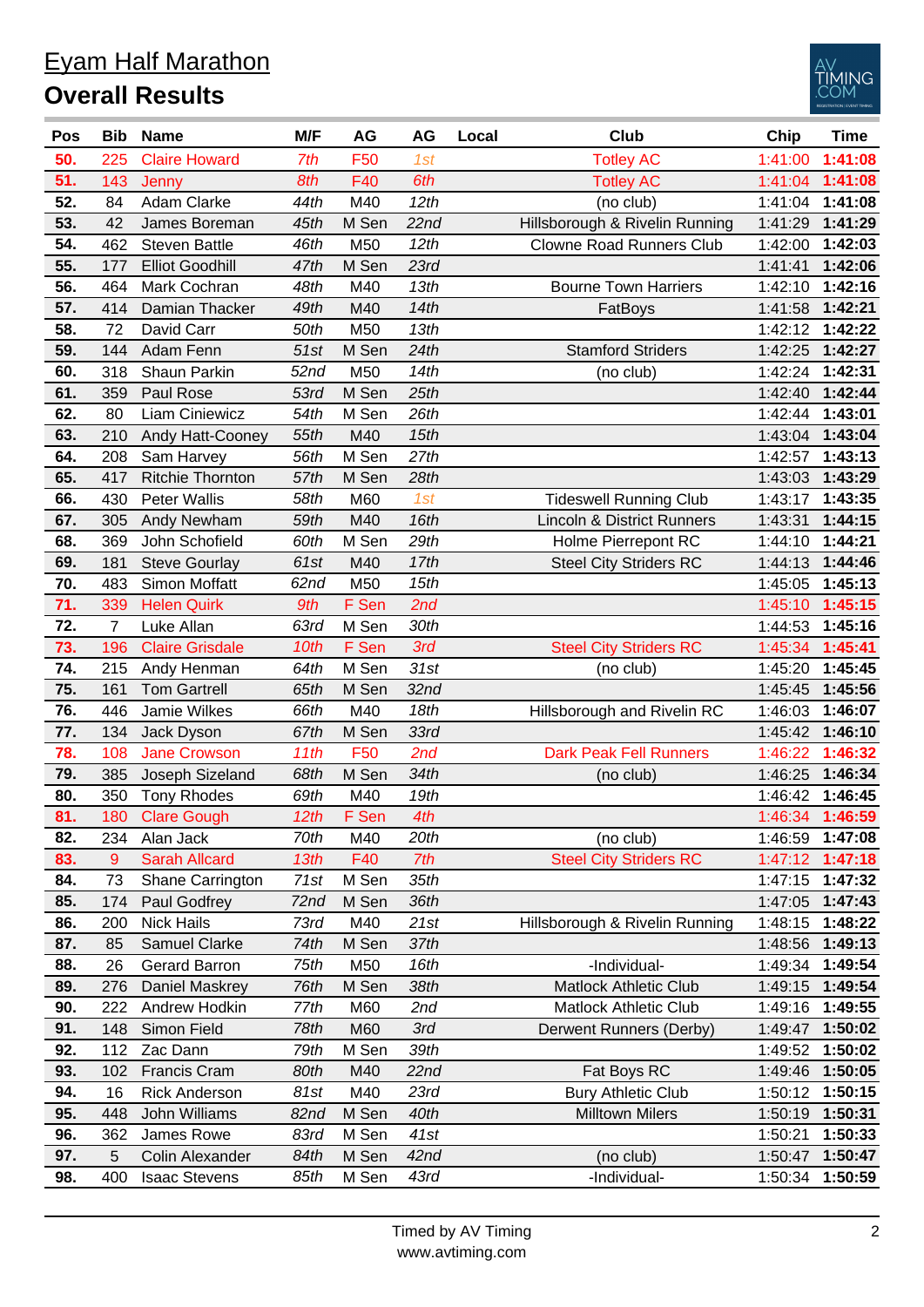| <b>Eyam Half Marathon</b> |
|---------------------------|
| <b>Overall Results</b>    |



| Pos | <b>Bib</b>     | <b>Name</b>             | M/F              | AG              | AG               | Local | <b>Club</b>                           | Chip    | <b>Time</b>     |
|-----|----------------|-------------------------|------------------|-----------------|------------------|-------|---------------------------------------|---------|-----------------|
| 50. | 225            | <b>Claire Howard</b>    | 7th              | F50             | 1st              |       | <b>Totley AC</b>                      | 1:41:00 | 1:41:08         |
| 51. | 143            | Jenny                   | 8th              | F40             | 6th              |       | <b>Totley AC</b>                      | 1:41:04 | 1:41:08         |
| 52. | 84             | Adam Clarke             | 44th             | M40             | 12th             |       | (no club)                             | 1:41:04 | 1:41:08         |
| 53. | 42             | James Boreman           | 45th             | M Sen           | 22nd             |       | Hillsborough & Rivelin Running        | 1:41:29 | 1:41:29         |
| 54. | 462            | <b>Steven Battle</b>    | 46th             | M50             | 12th             |       | <b>Clowne Road Runners Club</b>       | 1:42:00 | 1:42:03         |
| 55. | 177            | <b>Elliot Goodhill</b>  | 47th             | M Sen           | 23rd             |       |                                       | 1:41:41 | 1:42:06         |
| 56. | 464            | Mark Cochran            | 48th             | M40             | 13th             |       | <b>Bourne Town Harriers</b>           | 1:42:10 | 1:42:16         |
| 57. | 414            | Damian Thacker          | 49th             | M40             | 14th             |       | FatBoys                               | 1:41:58 | 1:42:21         |
| 58. | 72             | David Carr              | 50th             | M50             | 13th             |       |                                       | 1:42:12 | 1:42:22         |
| 59. | 144            | Adam Fenn               | 51st             | M Sen           | 24th             |       | <b>Stamford Striders</b>              | 1:42:25 | 1:42:27         |
| 60. | 318            | Shaun Parkin            | 52 <sub>nd</sub> | M50             | 14th             |       | (no club)                             | 1:42:24 | 1:42:31         |
| 61. | 359            | Paul Rose               | 53rd             | M Sen           | 25th             |       |                                       | 1:42:40 | 1:42:44         |
| 62. | 80             | Liam Ciniewicz          | 54th             | M Sen           | 26th             |       |                                       | 1:42:44 | 1:43:01         |
| 63. | 210            | Andy Hatt-Cooney        | 55th             | M40             | 15th             |       |                                       | 1:43:04 | 1:43:04         |
| 64. | 208            | Sam Harvey              | 56th             | M Sen           | 27th             |       |                                       | 1:42:57 | 1:43:13         |
| 65. | 417            | <b>Ritchie Thornton</b> | 57th             | M Sen           | 28th             |       |                                       | 1:43:03 | 1:43:29         |
| 66. | 430            | <b>Peter Wallis</b>     | 58th             | M60             | 1st              |       | <b>Tideswell Running Club</b>         | 1:43:17 | 1:43:35         |
| 67. | 305            | Andy Newham             | 59th             | M40             | 16th             |       | <b>Lincoln &amp; District Runners</b> | 1:43:31 | 1:44:15         |
| 68. | 369            | John Schofield          | 60th             | M Sen           | 29th             |       | Holme Pierrepont RC                   | 1:44:10 | 1:44:21         |
| 69. | 181            | <b>Steve Gourlay</b>    | 61st             | M40             | 17th             |       | <b>Steel City Striders RC</b>         | 1:44:13 | 1:44:46         |
| 70. | 483            | Simon Moffatt           | 62 <sub>nd</sub> | M50             | 15th             |       |                                       | 1:45:05 | 1:45:13         |
| 71. | 339            | <b>Helen Quirk</b>      | 9th              | F Sen           | 2nd              |       |                                       | 1:45:10 | 1:45:15         |
| 72. | $\overline{7}$ | Luke Allan              | 63rd             | M Sen           | 30th             |       |                                       | 1:44:53 | 1:45:16         |
| 73. | 196            | <b>Claire Grisdale</b>  | 10th             | F Sen           | 3rd              |       | <b>Steel City Striders RC</b>         | 1:45:34 | 1:45:41         |
| 74. | 215            | Andy Henman             | 64th             | M Sen           | 31st             |       | (no club)                             | 1:45:20 | 1:45:45         |
| 75. | 161            | <b>Tom Gartrell</b>     | 65th             | M Sen           | 32 <sub>nd</sub> |       |                                       | 1:45:45 | 1:45:56         |
| 76. | 446            | Jamie Wilkes            | 66th             | M40             | 18th             |       | Hillsborough and Rivelin RC           | 1:46:03 | 1:46:07         |
| 77. | 134            | Jack Dyson              | 67th             | M Sen           | 33rd             |       |                                       | 1:45:42 | 1:46:10         |
| 78. | 108            | <b>Jane Crowson</b>     | 11th             | F <sub>50</sub> | 2nd              |       | <b>Dark Peak Fell Runners</b>         | 1:46:22 | 1:46:32         |
| 79. | 385            | Joseph Sizeland         | 68th             | M Sen           | 34th             |       | (no club)                             | 1:46:25 | 1:46:34         |
| 80. | 350            | <b>Tony Rhodes</b>      | 69th             | M40             | 19th             |       |                                       |         | 1:46:42 1:46:45 |
| 81. |                | 180 Clare Gough         | 12th             | F Sen           | 4th              |       |                                       |         | 1:46:34 1:46:59 |
| 82. | 234            | Alan Jack               | 70th             | M40             | 20th             |       | (no club)                             | 1:46:59 | 1:47:08         |
| 83. | 9              | <b>Sarah Allcard</b>    | 13th             | F40             | 7th              |       | <b>Steel City Striders RC</b>         |         | 1:47:12 1:47:18 |
| 84. | 73             | Shane Carrington        | 71st             | M Sen           | 35th             |       |                                       | 1:47:15 | 1:47:32         |
| 85. | 174            | Paul Godfrey            | 72nd             | M Sen           | 36th             |       |                                       | 1:47:05 | 1:47:43         |
| 86. | 200            | <b>Nick Hails</b>       | 73rd             | M40             | 21st             |       | Hillsborough & Rivelin Running        | 1:48:15 | 1:48:22         |
| 87. | 85             | Samuel Clarke           | 74th             | M Sen           | 37th             |       |                                       | 1:48:56 | 1:49:13         |
| 88. | 26             | <b>Gerard Barron</b>    | 75th             | M50             | 16th             |       | -Individual-                          | 1:49:34 | 1:49:54         |
| 89. | 276            | Daniel Maskrey          | 76th             | M Sen           | 38th             |       | <b>Matlock Athletic Club</b>          | 1:49:15 | 1:49:54         |
| 90. | 222            | Andrew Hodkin           | 77th             | M60             | 2nd              |       | <b>Matlock Athletic Club</b>          | 1:49:16 | 1:49:55         |
| 91. | 148            | Simon Field             | 78th             | M60             | 3rd              |       | Derwent Runners (Derby)               | 1:49:47 | 1:50:02         |
| 92. | 112            | Zac Dann                | 79th             | M Sen           | 39th             |       |                                       | 1:49:52 | 1:50:02         |
| 93. | 102            | <b>Francis Cram</b>     | 80th             | M40             | 22nd             |       | Fat Boys RC                           | 1:49:46 | 1:50:05         |
| 94. | 16             | <b>Rick Anderson</b>    | 81st             | M40             | 23rd             |       | <b>Bury Athletic Club</b>             | 1:50:12 | 1:50:15         |
| 95. | 448            | John Williams           | 82nd             | M Sen           | 40th             |       | <b>Milltown Milers</b>                | 1:50:19 | 1:50:31         |
| 96. | 362            | James Rowe              | 83rd             | M Sen           | 41st             |       |                                       | 1:50:21 | 1:50:33         |
| 97. | 5              | Colin Alexander         | 84th             | M Sen           | 42 <sub>nd</sub> |       | (no club)                             | 1:50:47 | 1:50:47         |
| 98. | 400            | <b>Isaac Stevens</b>    | 85th             | M Sen           | 43rd             |       | -Individual-                          | 1:50:34 | 1:50:59         |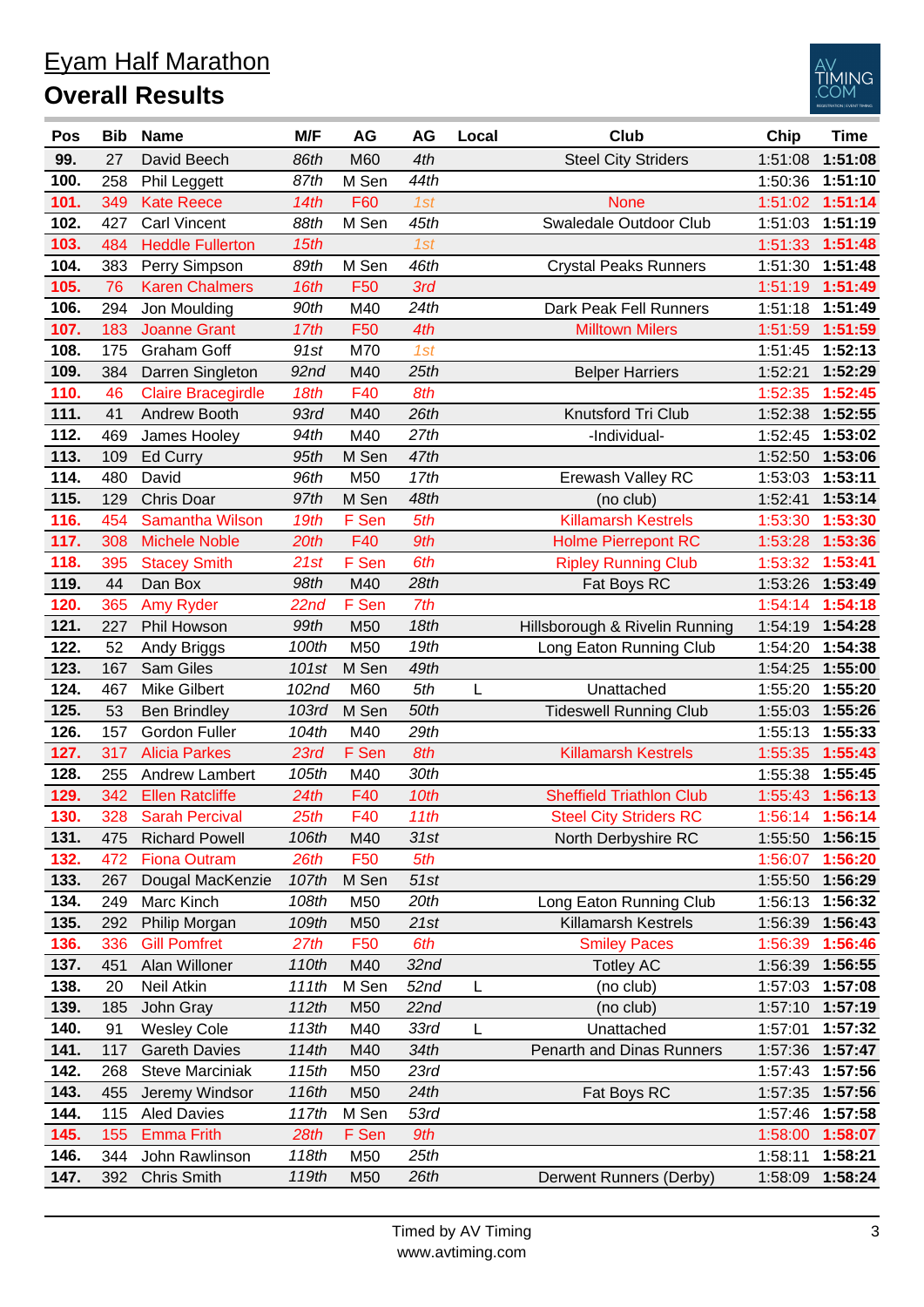|                        | <b>Eyam Half Marathon</b> |
|------------------------|---------------------------|
| <b>Overall Results</b> |                           |



| Pos  | <b>Bib</b> | <b>Name</b>               | M/F              | AG              | AG               | Local | <b>Club</b>                     | Chip    | <b>Time</b>     |
|------|------------|---------------------------|------------------|-----------------|------------------|-------|---------------------------------|---------|-----------------|
| 99.  | 27         | David Beech               | 86th             | M60             | 4th              |       | <b>Steel City Striders</b>      | 1:51:08 | 1:51:08         |
| 100. | 258        | <b>Phil Leggett</b>       | 87th             | M Sen           | 44th             |       |                                 | 1:50:36 | 1:51:10         |
| 101. | 349        | <b>Kate Reece</b>         | 14th             | F60             | 1st              |       | <b>None</b>                     | 1:51:02 | 1:51:14         |
| 102. | 427        | <b>Carl Vincent</b>       | 88th             | M Sen           | 45th             |       | Swaledale Outdoor Club          | 1:51:03 | 1:51:19         |
| 103. | 484        | <b>Heddle Fullerton</b>   | 15th             |                 | 1st              |       |                                 | 1:51:33 | 1:51:48         |
| 104. | 383        | Perry Simpson             | 89th             | M Sen           | 46th             |       | <b>Crystal Peaks Runners</b>    | 1:51:30 | 1:51:48         |
| 105. | 76         | <b>Karen Chalmers</b>     | 16th             | F50             | 3rd              |       |                                 | 1:51:19 | 1:51:49         |
| 106. | 294        | Jon Moulding              | 90th             | M40             | 24th             |       | Dark Peak Fell Runners          | 1:51:18 | 1:51:49         |
| 107. | 183        | <b>Joanne Grant</b>       | 17th             | F50             | 4th              |       | <b>Milltown Milers</b>          | 1:51:59 | 1:51:59         |
| 108. | 175        | <b>Graham Goff</b>        | 91st             | M70             | 1st              |       |                                 | 1:51:45 | 1:52:13         |
| 109. | 384        | Darren Singleton          | 92 <sub>nd</sub> | M40             | 25th             |       | <b>Belper Harriers</b>          | 1:52:21 | 1:52:29         |
| 110. | 46         | <b>Claire Bracegirdle</b> | 18th             | F40             | 8th              |       |                                 | 1:52:35 | 1:52:45         |
| 111. | 41         | Andrew Booth              | 93rd             | M40             | 26th             |       | Knutsford Tri Club              | 1:52:38 | 1:52:55         |
| 112. | 469        | James Hooley              | 94th             | M40             | 27th             |       | -Individual-                    | 1:52:45 | 1:53:02         |
| 113. | 109        | Ed Curry                  | 95th             | M Sen           | 47th             |       |                                 | 1:52:50 | 1:53:06         |
| 114. | 480        | David                     | 96th             | M50             | 17th             |       | Erewash Valley RC               | 1:53:03 | 1:53:11         |
| 115. | 129        | <b>Chris Doar</b>         | 97th             | M Sen           | 48th             |       | (no club)                       | 1:52:41 | 1:53:14         |
| 116. | 454        | <b>Samantha Wilson</b>    | 19th             | F Sen           | 5th              |       | <b>Killamarsh Kestrels</b>      | 1:53:30 | 1:53:30         |
| 117. | 308        | <b>Michele Noble</b>      | 20th             | F40             | 9th              |       | <b>Holme Pierrepont RC</b>      | 1:53:28 | 1:53:36         |
| 118. | 395        | <b>Stacey Smith</b>       | 21st             | F Sen           | 6th              |       | <b>Ripley Running Club</b>      | 1:53:32 | 1:53:41         |
| 119. | 44         | Dan Box                   | 98th             | M40             | 28th             |       | Fat Boys RC                     | 1:53:26 | 1:53:49         |
| 120. | 365        | <b>Amy Ryder</b>          | 22nd             | F Sen           | 7th              |       |                                 | 1:54:14 | 1:54:18         |
| 121. | 227        | Phil Howson               | 99th             | M50             | 18th             |       | Hillsborough & Rivelin Running  | 1:54:19 | 1:54:28         |
| 122. | 52         | Andy Briggs               | 100th            | M50             | 19th             |       | Long Eaton Running Club         | 1:54:20 | 1:54:38         |
| 123. | 167        | Sam Giles                 | 101st            | M Sen           | 49th             |       |                                 | 1:54:25 | 1:55:00         |
| 124. | 467        | Mike Gilbert              | 102nd            | M60             | 5th              | L     | Unattached                      | 1:55:20 | 1:55:20         |
| 125. | 53         | <b>Ben Brindley</b>       | 103rd            | M Sen           | 50th             |       | <b>Tideswell Running Club</b>   | 1:55:03 | 1:55:26         |
| 126. | 157        | <b>Gordon Fuller</b>      | 104th            | M40             | 29th             |       |                                 | 1:55:13 | 1:55:33         |
| 127. | 317        | <b>Alicia Parkes</b>      | 23rd             | F Sen           | 8th              |       | <b>Killamarsh Kestrels</b>      | 1:55:35 | 1:55:43         |
| 128. | 255        | Andrew Lambert            | 105th            | M40             | 30th             |       |                                 | 1:55:38 | 1:55:45         |
| 129. | 342        | <b>Ellen Ratcliffe</b>    | 24th             | F40             | 10th             |       | <b>Sheffield Triathlon Club</b> |         | 1:55:43 1:56:13 |
| 130. |            | 328 Sarah Percival        | 25th             | F40             | 11th             |       | <b>Steel City Striders RC</b>   |         | 1:56:14 1:56:14 |
| 131. | 475        | <b>Richard Powell</b>     | 106th            | M40             | 31st             |       | North Derbyshire RC             | 1:55:50 | 1:56:15         |
| 132. | 472        | <b>Fiona Outram</b>       | 26th             | F <sub>50</sub> | 5th              |       |                                 | 1:56:07 | 1:56:20         |
| 133. | 267        | Dougal MacKenzie          | 107th            | M Sen           | 51st             |       |                                 | 1:55:50 | 1:56:29         |
| 134. | 249        | Marc Kinch                | 108th            | M50             | 20th             |       | Long Eaton Running Club         | 1:56:13 | 1:56:32         |
| 135. | 292        | Philip Morgan             | 109th            | M <sub>50</sub> | 21st             |       | <b>Killamarsh Kestrels</b>      | 1:56:39 | 1:56:43         |
| 136. | 336        | <b>Gill Pomfret</b>       | 27th             | F <sub>50</sub> | 6th              |       | <b>Smiley Paces</b>             | 1:56:39 | 1:56:46         |
| 137. | 451        | Alan Willoner             | 110th            | M40             | 32 <sub>nd</sub> |       | <b>Totley AC</b>                | 1:56:39 | 1:56:55         |
| 138. | 20         | Neil Atkin                | 111th            | M Sen           | 52 <sub>nd</sub> |       | (no club)                       | 1:57:03 | 1:57:08         |
| 139. | 185        | John Gray                 | 112th            | M50             | 22nd             | L     | (no club)                       | 1:57:10 | 1:57:19         |
| 140. | 91         | <b>Wesley Cole</b>        | 113th            | M40             | 33rd             | L     | Unattached                      | 1:57:01 | 1:57:32         |
| 141. | 117        | <b>Gareth Davies</b>      | 114th            | M40             | 34th             |       | Penarth and Dinas Runners       | 1:57:36 | 1:57:47         |
| 142. | 268        | <b>Steve Marciniak</b>    | 115th            | M <sub>50</sub> | 23rd             |       |                                 | 1:57:43 | 1:57:56         |
| 143. | 455        | Jeremy Windsor            | 116th            | M50             | 24th             |       | Fat Boys RC                     | 1:57:35 | 1:57:56         |
| 144. | 115        | <b>Aled Davies</b>        | 117th            | M Sen           | 53rd             |       |                                 | 1:57:46 | 1:57:58         |
| 145. | 155        | <b>Emma Frith</b>         | 28th             | F Sen           | 9th              |       |                                 | 1:58:00 | 1:58:07         |
| 146. | 344        | John Rawlinson            | 118th            | M50             | 25th             |       |                                 | 1:58:11 | 1:58:21         |
| 147. | 392        | <b>Chris Smith</b>        | 119th            | M50             | 26th             |       | Derwent Runners (Derby)         | 1:58:09 | 1:58:24         |
|      |            |                           |                  |                 |                  |       |                                 |         |                 |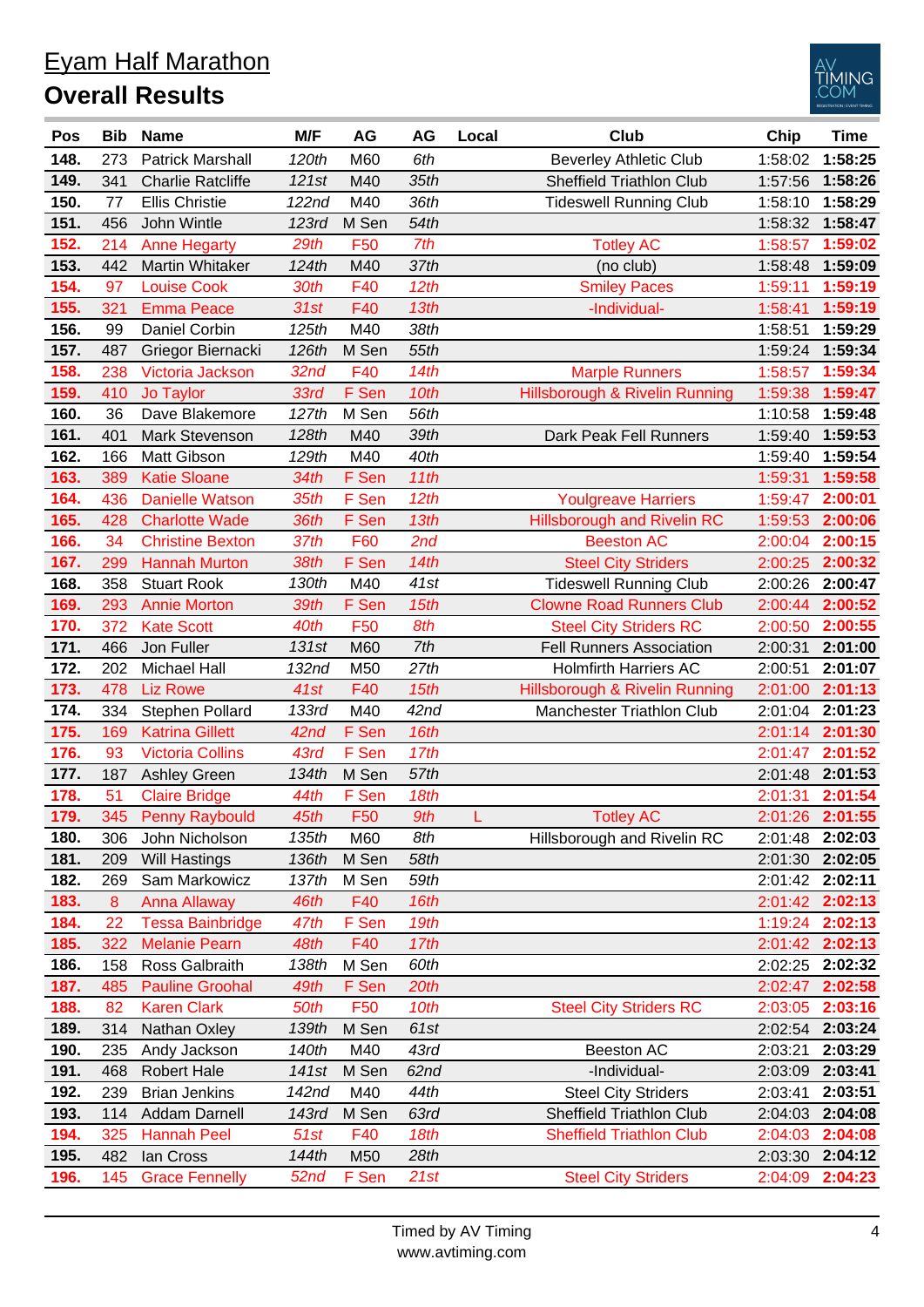## Eyam Half Marathon **Overall Results**



| Pos  | <b>Bib</b> | <b>Name</b>              | M/F              | AG              | AG               | Local | <b>Club</b>                        | Chip    | <b>Time</b>     |
|------|------------|--------------------------|------------------|-----------------|------------------|-------|------------------------------------|---------|-----------------|
| 148. | 273        | <b>Patrick Marshall</b>  | 120th            | M60             | 6th              |       | <b>Beverley Athletic Club</b>      | 1:58:02 | 1:58:25         |
| 149. | 341        | <b>Charlie Ratcliffe</b> | 121st            | M40             | 35th             |       | Sheffield Triathlon Club           | 1:57:56 | 1:58:26         |
| 150. | 77         | <b>Ellis Christie</b>    | 122nd            | M40             | 36th             |       | <b>Tideswell Running Club</b>      | 1:58:10 | 1:58:29         |
| 151. | 456        | John Wintle              | 123rd            | M Sen           | 54th             |       |                                    | 1:58:32 | 1:58:47         |
| 152. | 214        | <b>Anne Hegarty</b>      | 29th             | F <sub>50</sub> | 7th              |       | <b>Totley AC</b>                   | 1:58:57 | 1:59:02         |
| 153. | 442        | Martin Whitaker          | 124th            | M40             | 37th             |       | (no club)                          | 1:58:48 | 1:59:09         |
| 154. | 97         | <b>Louise Cook</b>       | 30th             | F40             | 12th             |       | <b>Smiley Paces</b>                | 1:59:11 | 1:59:19         |
| 155. | 321        | <b>Emma Peace</b>        | 31st             | F40             | 13th             |       | -Individual-                       | 1:58:41 | 1:59:19         |
| 156. | 99         | Daniel Corbin            | 125th            | M40             | 38th             |       |                                    | 1:58:51 | 1:59:29         |
| 157. | 487        | Griegor Biernacki        | 126th            | M Sen           | 55th             |       |                                    | 1:59:24 | 1:59:34         |
| 158. | 238        | Victoria Jackson         | 32 <sub>nd</sub> | F40             | 14th             |       | <b>Marple Runners</b>              | 1:58:57 | 1:59:34         |
| 159. | 410        | Jo Taylor                | 33rd             | F Sen           | 10th             |       | Hillsborough & Rivelin Running     | 1:59:38 | 1:59:47         |
| 160. | 36         | Dave Blakemore           | 127th            | M Sen           | 56th             |       |                                    | 1:10:58 | 1:59:48         |
| 161. | 401        | Mark Stevenson           | 128th            | M40             | 39th             |       | Dark Peak Fell Runners             | 1:59:40 | 1:59:53         |
| 162. | 166        | Matt Gibson              | 129th            | M40             | 40th             |       |                                    | 1:59:40 | 1:59:54         |
| 163. | 389        | <b>Katie Sloane</b>      | 34th             | F Sen           | 11th             |       |                                    | 1:59:31 | 1:59:58         |
| 164. | 436        | <b>Danielle Watson</b>   | 35th             | F Sen           | 12th             |       | <b>Youlgreave Harriers</b>         | 1:59:47 | 2:00:01         |
| 165. | 428        | <b>Charlotte Wade</b>    | 36th             | F Sen           | 13th             |       | <b>Hillsborough and Rivelin RC</b> | 1:59:53 | 2:00:06         |
| 166. | 34         | <b>Christine Bexton</b>  | 37th             | F60             | 2nd              |       | <b>Beeston AC</b>                  | 2:00:04 | 2:00:15         |
| 167. | 299        | <b>Hannah Murton</b>     | 38th             | F Sen           | 14th             |       | <b>Steel City Striders</b>         | 2:00:25 | 2:00:32         |
| 168. | 358        | <b>Stuart Rook</b>       | 130th            | M40             | 41st             |       | <b>Tideswell Running Club</b>      | 2:00:26 | 2:00:47         |
| 169. | 293        | <b>Annie Morton</b>      | 39th             | F Sen           | 15th             |       | <b>Clowne Road Runners Club</b>    | 2:00:44 | 2:00:52         |
| 170. | 372        | <b>Kate Scott</b>        | 40th             | F <sub>50</sub> | 8th              |       | <b>Steel City Striders RC</b>      | 2:00:50 | 2:00:55         |
| 171. | 466        | Jon Fuller               | 131st            | M60             | 7th              |       | <b>Fell Runners Association</b>    | 2:00:31 | 2:01:00         |
| 172. | 202        | Michael Hall             | 132nd            | M50             | 27th             |       | <b>Holmfirth Harriers AC</b>       | 2:00:51 | 2:01:07         |
| 173. | 478        | <b>Liz Rowe</b>          | 41st             | F40             | 15th             |       | Hillsborough & Rivelin Running     | 2:01:00 | 2:01:13         |
| 174. | 334        | Stephen Pollard          | 133rd            | M40             | 42 <sub>nd</sub> |       | Manchester Triathlon Club          | 2:01:04 | 2:01:23         |
| 175. | 169        | <b>Katrina Gillett</b>   | 42nd             | F Sen           | 16th             |       |                                    | 2:01:14 | 2:01:30         |
| 176. | 93         | <b>Victoria Collins</b>  | 43rd             | F Sen           | 17th             |       |                                    | 2:01:47 | 2:01:52         |
| 177. | 187        | <b>Ashley Green</b>      | 134th            | M Sen           | 57th             |       |                                    | 2:01:48 | 2:01:53         |
| 178. | 51         | <b>Claire Bridge</b>     | 44th             | F Sen           | 18th             |       |                                    | 2:01:31 | 2:01:54         |
| 179. | 345        | <b>Penny Raybould</b>    | 45th             | F <sub>50</sub> | 9th              |       | <b>Totley AC</b>                   |         | 2:01:26 2:01:55 |
| 180. | 306        | John Nicholson           | 135th            | M60             | 8th              |       | Hillsborough and Rivelin RC        |         | 2:01:48 2:02:03 |
| 181. | 209        | Will Hastings            | 136th            | M Sen           | 58th             |       |                                    | 2:01:30 | 2:02:05         |
| 182. | 269        | Sam Markowicz            | 137th            | M Sen           | 59th             |       |                                    |         | 2:01:42 2:02:11 |
| 183. | 8          | <b>Anna Allaway</b>      | 46th             | F40             | 16th             |       |                                    | 2:01:42 | 2:02:13         |
| 184. | 22         | <b>Tessa Bainbridge</b>  | 47th             | F Sen           | 19th             |       |                                    | 1:19:24 | 2:02:13         |
| 185. | 322        | <b>Melanie Pearn</b>     | 48th             | F40             | 17th             |       |                                    | 2:01:42 | 2:02:13         |
| 186. | 158        | Ross Galbraith           | 138th            | M Sen           | 60th             |       |                                    | 2:02:25 | 2:02:32         |
| 187. | 485        | <b>Pauline Groohal</b>   | 49th             | F Sen           | 20th             |       |                                    | 2:02:47 | 2:02:58         |
| 188. | 82         | <b>Karen Clark</b>       | 50th             | F <sub>50</sub> | 10th             |       | <b>Steel City Striders RC</b>      | 2:03:05 | 2:03:16         |
| 189. | 314        | Nathan Oxley             | 139th            | M Sen           | 61st             |       |                                    | 2:02:54 | 2:03:24         |
| 190. | 235        | Andy Jackson             | 140th            | M40             | 43rd             |       | Beeston AC                         | 2:03:21 | 2:03:29         |
| 191. | 468        | <b>Robert Hale</b>       | 141st            | M Sen           | 62nd             |       | -Individual-                       | 2:03:09 | 2:03:41         |
| 192. | 239        | <b>Brian Jenkins</b>     | 142nd            | M40             | 44th             |       | <b>Steel City Striders</b>         | 2:03:41 | 2:03:51         |
| 193. | 114        | Addam Darnell            | 143rd            | M Sen           | 63rd             |       | <b>Sheffield Triathlon Club</b>    | 2:04:03 | 2:04:08         |
| 194. | 325        | <b>Hannah Peel</b>       | 51st             | F40             | 18th             |       | <b>Sheffield Triathlon Club</b>    | 2:04:03 | 2:04:08         |
| 195. | 482        | lan Cross                | 144th            | M50             | 28th             |       |                                    | 2:03:30 | 2:04:12         |
| 196. | 145        | <b>Grace Fennelly</b>    | 52nd             | F Sen           | 21st             |       | <b>Steel City Striders</b>         | 2:04:09 | 2:04:23         |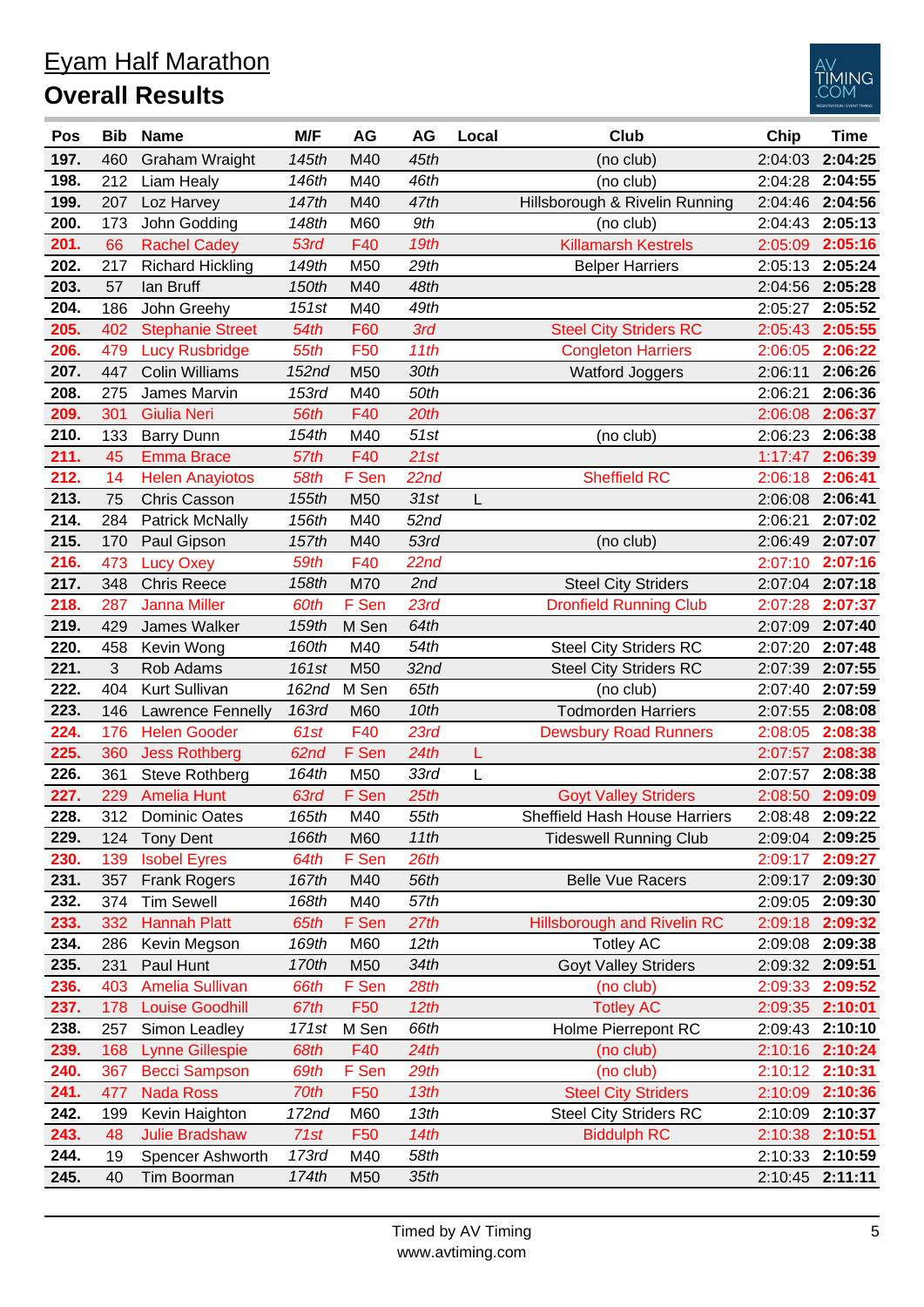|  | <b>Eyam Half Marathon</b>                                                                                                                                                                                                                                                                                                                                                                  |  |
|--|--------------------------------------------------------------------------------------------------------------------------------------------------------------------------------------------------------------------------------------------------------------------------------------------------------------------------------------------------------------------------------------------|--|
|  | $\bigcap_{n \geq 1}$ and $\bigcap_{n \geq 1} \bigcap_{n \geq 1} \bigcup_{n \geq 1} \bigcup_{n \geq 1} \bigcap_{n \geq 1} \bigcap_{n \geq 1} \bigcap_{n \geq 1} \bigcap_{n \geq 1} \bigcap_{n \geq 1} \bigcap_{n \geq 1} \bigcap_{n \geq 1} \bigcap_{n \geq 1} \bigcap_{n \geq 1} \bigcap_{n \geq 1} \bigcap_{n \geq 1} \bigcap_{n \geq 1} \bigcap_{n \geq 1} \bigcap_{n \geq 1} \bigcap_{$ |  |

## **Overall Results**



| Pos  | <b>Bib</b> | <b>Name</b>             | M/F   | AG              | AG   | Local | <b>Club</b>                        | Chip    | <b>Time</b>     |
|------|------------|-------------------------|-------|-----------------|------|-------|------------------------------------|---------|-----------------|
| 197. | 460        | Graham Wraight          | 145th | M40             | 45th |       | (no club)                          | 2:04:03 | 2:04:25         |
| 198. | 212        | Liam Healy              | 146th | M40             | 46th |       | (no club)                          | 2:04:28 | 2:04:55         |
| 199. | 207        | Loz Harvey              | 147th | M40             | 47th |       | Hillsborough & Rivelin Running     | 2:04:46 | 2:04:56         |
| 200. | 173        | John Godding            | 148th | M60             | 9th  |       | (no club)                          | 2:04:43 | 2:05:13         |
| 201. | 66         | <b>Rachel Cadey</b>     | 53rd  | F40             | 19th |       | <b>Killamarsh Kestrels</b>         | 2:05:09 | 2:05:16         |
| 202. | 217        | <b>Richard Hickling</b> | 149th | M50             | 29th |       | <b>Belper Harriers</b>             | 2:05:13 | 2:05:24         |
| 203. | 57         | lan Bruff               | 150th | M40             | 48th |       |                                    | 2:04:56 | 2:05:28         |
| 204. | 186        | John Greehy             | 151st | M40             | 49th |       |                                    | 2:05:27 | 2:05:52         |
| 205. | 402        | <b>Stephanie Street</b> | 54th  | F60             | 3rd  |       | <b>Steel City Striders RC</b>      | 2:05:43 | 2:05:55         |
| 206. | 479        | <b>Lucy Rusbridge</b>   | 55th  | F <sub>50</sub> | 11th |       | <b>Congleton Harriers</b>          | 2:06:05 | 2:06:22         |
| 207. | 447        | <b>Colin Williams</b>   | 152nd | M50             | 30th |       | <b>Watford Joggers</b>             | 2:06:11 | 2:06:26         |
| 208. | 275        | James Marvin            | 153rd | M40             | 50th |       |                                    | 2:06:21 | 2:06:36         |
| 209. | 301        | <b>Giulia Neri</b>      | 56th  | F40             | 20th |       |                                    | 2:06:08 | 2:06:37         |
| 210. | 133        | <b>Barry Dunn</b>       | 154th | M40             | 51st |       | (no club)                          | 2:06:23 | 2:06:38         |
| 211. | 45         | <b>Emma Brace</b>       | 57th  | F40             | 21st |       |                                    | 1:17:47 | 2:06:39         |
| 212. | 14         | <b>Helen Anayiotos</b>  | 58th  | F Sen           | 22nd |       | <b>Sheffield RC</b>                | 2:06:18 | 2:06:41         |
| 213. | 75         | <b>Chris Casson</b>     | 155th | M50             | 31st | L     |                                    | 2:06:08 | 2:06:41         |
| 214. | 284        | <b>Patrick McNally</b>  | 156th | M40             | 52nd |       |                                    | 2:06:21 | 2:07:02         |
| 215. | 170        | Paul Gipson             | 157th | M40             | 53rd |       | (no club)                          | 2:06:49 | 2:07:07         |
| 216. | 473        | <b>Lucy Oxey</b>        | 59th  | F40             | 22nd |       |                                    | 2:07:10 | 2:07:16         |
| 217. | 348        | <b>Chris Reece</b>      | 158th | M70             | 2nd  |       | <b>Steel City Striders</b>         | 2:07:04 | 2:07:18         |
| 218. | 287        | <b>Janna Miller</b>     | 60th  | F Sen           | 23rd |       | <b>Dronfield Running Club</b>      | 2:07:28 | 2:07:37         |
| 219. | 429        | James Walker            | 159th | M Sen           | 64th |       |                                    | 2:07:09 | 2:07:40         |
| 220. | 458        | Kevin Wong              | 160th | M40             | 54th |       | <b>Steel City Striders RC</b>      | 2:07:20 | 2:07:48         |
| 221. | 3          | Rob Adams               | 161st | M50             | 32nd |       | <b>Steel City Striders RC</b>      | 2:07:39 | 2:07:55         |
| 222. | 404        | Kurt Sullivan           | 162nd | M Sen           | 65th |       | (no club)                          | 2:07:40 | 2:07:59         |
| 223. | 146        | Lawrence Fennelly       | 163rd | M60             | 10th |       | <b>Todmorden Harriers</b>          | 2:07:55 | 2:08:08         |
| 224. | 176        | <b>Helen Gooder</b>     | 61st  | F40             | 23rd |       | <b>Dewsbury Road Runners</b>       | 2:08:05 | 2:08:38         |
| 225. | 360        | <b>Jess Rothberg</b>    | 62nd  | F Sen           | 24th | L     |                                    | 2:07:57 | 2:08:38         |
| 226. | 361        | <b>Steve Rothberg</b>   | 164th | M50             | 33rd | L     |                                    | 2:07:57 | 2:08:38         |
| 227. | 229        | <b>Amelia Hunt</b>      | 63rd  | F Sen           | 25th |       | <b>Goyt Valley Striders</b>        | 2:08:50 | 2:09:09         |
| 228. | 312        | Dominic Oates           | 165th | M40             | 55th |       | Sheffield Hash House Harriers      | 2:08:48 | 2:09:22         |
| 229. | 124        | <b>Tony Dent</b>        | 166th | M60             | 11th |       | <b>Tideswell Running Club</b>      | 2:09:04 | 2:09:25         |
| 230. | 139        | <b>Isobel Eyres</b>     | 64th  | F Sen           | 26th |       |                                    | 2:09:17 | 2:09:27         |
| 231. | 357        | <b>Frank Rogers</b>     | 167th | M40             | 56th |       | <b>Belle Vue Racers</b>            | 2:09:17 | 2:09:30         |
| 232. | 374        | <b>Tim Sewell</b>       | 168th | M40             | 57th |       |                                    | 2:09:05 | 2:09:30         |
| 233. | 332        | <b>Hannah Platt</b>     | 65th  | F Sen           | 27th |       | <b>Hillsborough and Rivelin RC</b> | 2:09:18 | 2:09:32         |
| 234. | 286        | Kevin Megson            | 169th | M60             | 12th |       | <b>Totley AC</b>                   | 2:09:08 | 2:09:38         |
| 235. | 231        | Paul Hunt               | 170th | M50             | 34th |       | <b>Goyt Valley Striders</b>        | 2:09:32 | 2:09:51         |
| 236. | 403        | <b>Amelia Sullivan</b>  | 66th  | F Sen           | 28th |       | (no club)                          | 2:09:33 | 2:09:52         |
| 237. | 178        | <b>Louise Goodhill</b>  | 67th  | F50             | 12th |       | <b>Totley AC</b>                   | 2:09:35 | 2:10:01         |
| 238. | 257        | Simon Leadley           | 171st | M Sen           | 66th |       | Holme Pierrepont RC                | 2:09:43 | 2:10:10         |
| 239. | 168        | <b>Lynne Gillespie</b>  | 68th  | F40             | 24th |       | (no club)                          | 2:10:16 | 2:10:24         |
| 240. | 367        | <b>Becci Sampson</b>    | 69th  | F Sen           | 29th |       | (no club)                          | 2:10:12 | 2:10:31         |
| 241. | 477        | <b>Nada Ross</b>        | 70th  | F <sub>50</sub> | 13th |       | <b>Steel City Striders</b>         | 2:10:09 | 2:10:36         |
| 242. | 199        | Kevin Haighton          | 172nd | M60             | 13th |       | <b>Steel City Striders RC</b>      | 2:10:09 | 2:10:37         |
| 243. | 48         | <b>Julie Bradshaw</b>   | 71st  | F <sub>50</sub> | 14th |       | <b>Biddulph RC</b>                 | 2:10:38 | 2:10:51         |
| 244. | 19         | Spencer Ashworth        | 173rd | M40             | 58th |       |                                    | 2:10:33 | 2:10:59         |
| 245. | 40         | Tim Boorman             | 174th | M50             | 35th |       |                                    |         | 2:10:45 2:11:11 |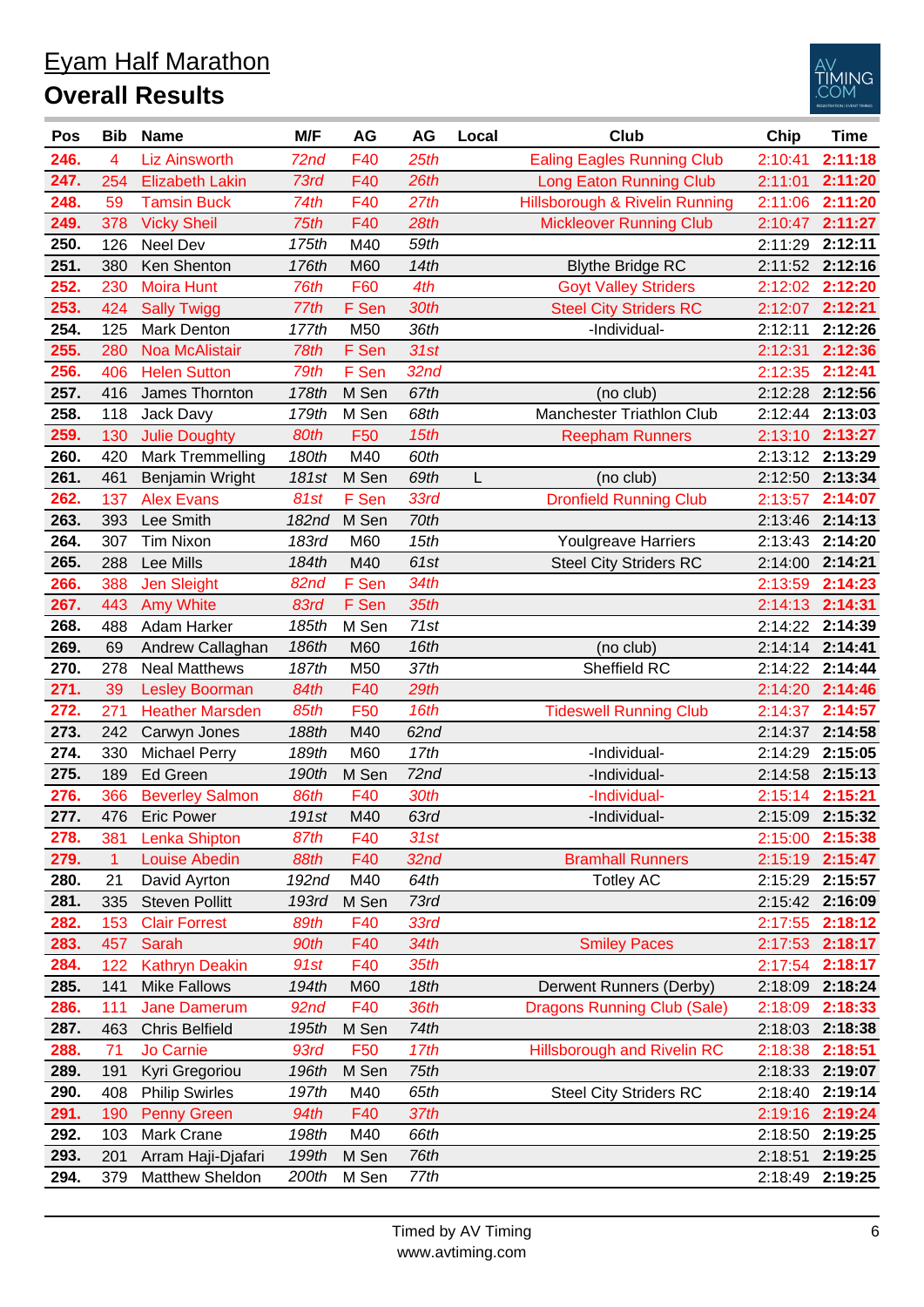| <u>Eyam Half Marathon</u> |
|---------------------------|
| <b>Overall Results</b>    |



| Pos  | <b>Bib</b> | <b>Name</b>             | M/F   | AG              | AG               | Local | <b>Club</b>                        | Chip    | <b>Time</b>     |
|------|------------|-------------------------|-------|-----------------|------------------|-------|------------------------------------|---------|-----------------|
| 246. | 4          | <b>Liz Ainsworth</b>    | 72nd  | F40             | 25th             |       | <b>Ealing Eagles Running Club</b>  | 2:10:41 | 2:11:18         |
| 247. | 254        | <b>Elizabeth Lakin</b>  | 73rd  | F40             | 26th             |       | <b>Long Eaton Running Club</b>     | 2:11:01 | 2:11:20         |
| 248. | 59         | <b>Tamsin Buck</b>      | 74th  | F40             | 27th             |       | Hillsborough & Rivelin Running     | 2:11:06 | 2:11:20         |
| 249. | 378        | <b>Vicky Sheil</b>      | 75th  | F40             | 28th             |       | <b>Mickleover Running Club</b>     | 2:10:47 | 2:11:27         |
| 250. | 126        | Neel Dev                | 175th | M40             | 59th             |       |                                    | 2:11:29 | 2:12:11         |
| 251. | 380        | Ken Shenton             | 176th | M60             | 14th             |       | <b>Blythe Bridge RC</b>            | 2:11:52 | 2:12:16         |
| 252. | 230        | <b>Moira Hunt</b>       | 76th  | F60             | 4th              |       | <b>Goyt Valley Striders</b>        | 2:12:02 | 2:12:20         |
| 253. | 424        | <b>Sally Twigg</b>      | 77th  | F Sen           | 30th             |       | <b>Steel City Striders RC</b>      | 2:12:07 | 2:12:21         |
| 254. | 125        | <b>Mark Denton</b>      | 177th | M50             | 36th             |       | -Individual-                       | 2:12:11 | 2:12:26         |
| 255. | 280        | <b>Noa McAlistair</b>   | 78th  | F Sen           | 31st             |       |                                    | 2:12:31 | 2:12:36         |
| 256. | 406        | <b>Helen Sutton</b>     | 79th  | F Sen           | 32 <sub>nd</sub> |       |                                    | 2:12:35 | 2:12:41         |
| 257. | 416        | James Thornton          | 178th | M Sen           | 67th             |       | (no club)                          | 2:12:28 | 2:12:56         |
| 258. | 118        | Jack Davy               | 179th | M Sen           | 68th             |       | Manchester Triathlon Club          | 2:12:44 | 2:13:03         |
| 259. | 130        | <b>Julie Doughty</b>    | 80th  | F50             | 15th             |       | <b>Reepham Runners</b>             | 2:13:10 | 2:13:27         |
| 260. | 420        | <b>Mark Tremmelling</b> | 180th | M40             | 60th             |       |                                    | 2:13:12 | 2:13:29         |
| 261. | 461        | Benjamin Wright         | 181st | M Sen           | 69th             | L     | (no club)                          | 2:12:50 | 2:13:34         |
| 262. | 137        | <b>Alex Evans</b>       | 81st  | F Sen           | 33rd             |       | <b>Dronfield Running Club</b>      | 2:13:57 | 2:14:07         |
| 263. | 393        | Lee Smith               | 182nd | M Sen           | 70th             |       |                                    | 2:13:46 | 2:14:13         |
| 264. | 307        | <b>Tim Nixon</b>        | 183rd | M60             | 15th             |       | <b>Youlgreave Harriers</b>         | 2:13:43 | 2:14:20         |
| 265. | 288        | Lee Mills               | 184th | M40             | 61st             |       | <b>Steel City Striders RC</b>      | 2:14:00 | 2:14:21         |
| 266. | 388        | <b>Jen Sleight</b>      | 82nd  | F Sen           | 34th             |       |                                    | 2:13:59 | 2:14:23         |
| 267. | 443        | <b>Amy White</b>        | 83rd  | F Sen           | 35th             |       |                                    | 2:14:13 | 2:14:31         |
| 268. | 488        | Adam Harker             | 185th | M Sen           | 71st             |       |                                    | 2:14:22 | 2:14:39         |
| 269. | 69         | Andrew Callaghan        | 186th | M60             | 16th             |       | (no club)                          | 2:14:14 | 2:14:41         |
| 270. | 278        | <b>Neal Matthews</b>    | 187th | M50             | 37th             |       | Sheffield RC                       | 2:14:22 | 2:14:44         |
| 271. | 39         | <b>Lesley Boorman</b>   | 84th  | F40             | 29th             |       |                                    | 2:14:20 | 2:14:46         |
| 272. | 271        | <b>Heather Marsden</b>  | 85th  | F50             | 16th             |       | <b>Tideswell Running Club</b>      | 2:14:37 | 2:14:57         |
| 273. | 242        | Carwyn Jones            | 188th | M40             | 62nd             |       |                                    | 2:14:37 | 2:14:58         |
| 274. | 330        | <b>Michael Perry</b>    | 189th | M60             | 17th             |       | -Individual-                       | 2:14:29 | 2:15:05         |
| 275. | 189        | <b>Ed Green</b>         | 190th | M Sen           | 72nd             |       | -Individual-                       | 2:14:58 | 2:15:13         |
| 276. | 366        | <b>Beverley Salmon</b>  | 86th  | F40             | 30th             |       | -Individual-                       |         | 2:15:14 2:15:21 |
| 277. | 476        | <b>Eric Power</b>       | 191st | M40             | 63rd             |       | -Individual-                       |         | 2:15:09 2:15:32 |
| 278. | 381        | Lenka Shipton           | 87th  | F40             | 31st             |       |                                    | 2:15:00 | 2:15:38         |
| 279. | 1          | <b>Louise Abedin</b>    | 88th  | F40             | 32nd             |       | <b>Bramhall Runners</b>            | 2:15:19 | 2:15:47         |
| 280. | 21         | David Ayrton            | 192nd | M40             | 64th             |       | <b>Totley AC</b>                   | 2:15:29 | 2:15:57         |
| 281. | 335        | <b>Steven Pollitt</b>   | 193rd | M Sen           | 73rd             |       |                                    |         | 2:15:42 2:16:09 |
| 282. | 153        | <b>Clair Forrest</b>    | 89th  | F40             | 33rd             |       |                                    | 2:17:55 | 2:18:12         |
| 283. | 457        | Sarah                   | 90th  | F40             | 34th             |       | <b>Smiley Paces</b>                | 2:17:53 | 2:18:17         |
| 284. | 122        | <b>Kathryn Deakin</b>   | 91st  | F40             | 35th             |       |                                    | 2:17:54 | 2:18:17         |
| 285. | 141        | <b>Mike Fallows</b>     | 194th | M60             | 18th             |       | Derwent Runners (Derby)            | 2:18:09 | 2:18:24         |
| 286. | 111        | Jane Damerum            | 92nd  | F40             | 36th             |       | <b>Dragons Running Club (Sale)</b> | 2:18:09 | 2:18:33         |
| 287. | 463        | <b>Chris Belfield</b>   | 195th | M Sen           | 74th             |       |                                    | 2:18:03 | 2:18:38         |
| 288. | 71         | Jo Carnie               | 93rd  | F <sub>50</sub> | 17th             |       | <b>Hillsborough and Rivelin RC</b> | 2:18:38 | 2:18:51         |
| 289. | 191        | Kyri Gregoriou          | 196th | M Sen           | 75th             |       |                                    |         | 2:18:33 2:19:07 |
| 290. | 408        | <b>Philip Swirles</b>   | 197th | M40             | 65th             |       | <b>Steel City Striders RC</b>      | 2:18:40 | 2:19:14         |
| 291. | 190        | <b>Penny Green</b>      | 94th  | F40             | 37th             |       |                                    |         | 2:19:16 2:19:24 |
| 292. | 103        | Mark Crane              | 198th | M40             | 66th             |       |                                    | 2:18:50 | 2:19:25         |
| 293. | 201        | Arram Haji-Djafari      | 199th | M Sen           | 76th             |       |                                    | 2:18:51 | 2:19:25         |
| 294. | 379        | Matthew Sheldon         | 200th | M Sen           | 77th             |       |                                    | 2:18:49 | 2:19:25         |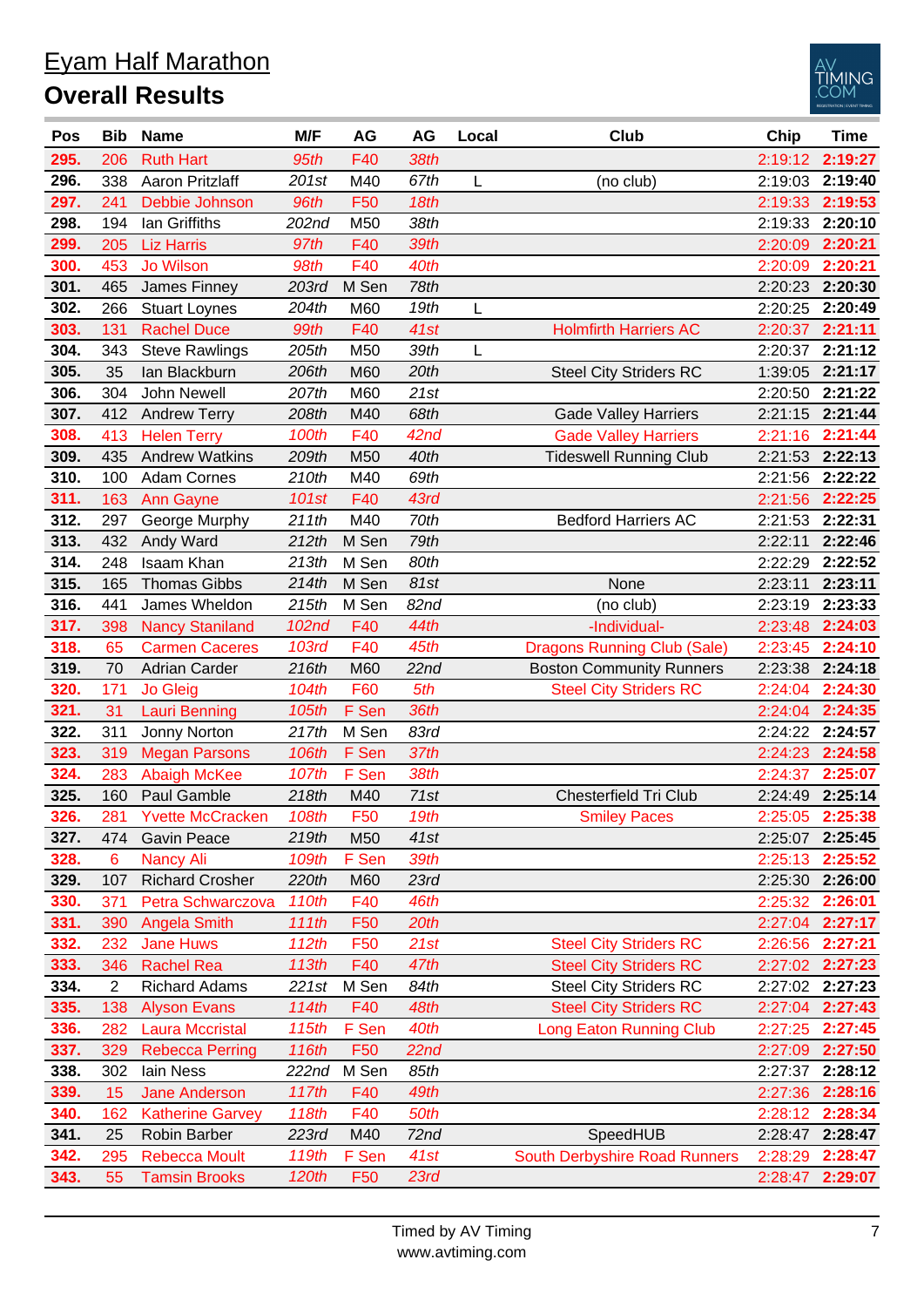|                        | <b>Eyam Half Marathon</b> |
|------------------------|---------------------------|
| <b>Overall Results</b> |                           |



| Pos  | <b>Bib</b>     | <b>Name</b>             | M/F          | AG              | AG   | Local | Club                               | Chip    | <b>Time</b>     |
|------|----------------|-------------------------|--------------|-----------------|------|-------|------------------------------------|---------|-----------------|
| 295. | 206            | <b>Ruth Hart</b>        | 95th         | F40             | 38th |       |                                    | 2:19:12 | 2:19:27         |
| 296. | 338            | Aaron Pritzlaff         | 201st        | M40             | 67th | L     | (no club)                          | 2:19:03 | 2:19:40         |
| 297. | 241            | Debbie Johnson          | 96th         | F50             | 18th |       |                                    | 2:19:33 | 2:19:53         |
| 298. | 194            | lan Griffiths           | 202nd        | M50             | 38th |       |                                    | 2:19:33 | 2:20:10         |
| 299. | 205            | <b>Liz Harris</b>       | 97th         | F40             | 39th |       |                                    | 2:20:09 | 2:20:21         |
| 300. | 453            | Jo Wilson               | 98th         | F40             | 40th |       |                                    | 2:20:09 | 2:20:21         |
| 301. | 465            | James Finney            | 203rd        | M Sen           | 78th |       |                                    | 2:20:23 | 2:20:30         |
| 302. | 266            | <b>Stuart Loynes</b>    | 204th        | M60             | 19th | L     |                                    | 2:20:25 | 2:20:49         |
| 303. | 131            | <b>Rachel Duce</b>      | 99th         | F40             | 41st |       | <b>Holmfirth Harriers AC</b>       | 2:20:37 | 2:21:11         |
| 304. | 343            | <b>Steve Rawlings</b>   | 205th        | M50             | 39th | L     |                                    | 2:20:37 | 2:21:12         |
| 305. | 35             | lan Blackburn           | 206th        | M60             | 20th |       | <b>Steel City Striders RC</b>      | 1:39:05 | 2:21:17         |
| 306. | 304            | John Newell             | 207th        | M60             | 21st |       |                                    | 2:20:50 | 2:21:22         |
| 307. | 412            | <b>Andrew Terry</b>     | 208th        | M40             | 68th |       | <b>Gade Valley Harriers</b>        | 2:21:15 | 2:21:44         |
| 308. | 413            | <b>Helen Terry</b>      | 100th        | F40             | 42nd |       | <b>Gade Valley Harriers</b>        | 2:21:16 | 2:21:44         |
| 309. | 435            | <b>Andrew Watkins</b>   | 209th        | M50             | 40th |       | <b>Tideswell Running Club</b>      | 2:21:53 | 2:22:13         |
| 310. | 100            | <b>Adam Cornes</b>      | 210th        | M40             | 69th |       |                                    | 2:21:56 | 2:22:22         |
| 311. | 163            | <b>Ann Gayne</b>        | 101st        | F40             | 43rd |       |                                    | 2:21:56 | 2:22:25         |
| 312. | 297            | George Murphy           | 211th        | M40             | 70th |       | <b>Bedford Harriers AC</b>         | 2:21:53 | 2:22:31         |
| 313. | 432            | Andy Ward               | 212th        | M Sen           | 79th |       |                                    | 2:22:11 | 2:22:46         |
| 314. | 248            | Isaam Khan              | 213th        | M Sen           | 80th |       |                                    | 2:22:29 | 2:22:52         |
| 315. | 165            | <b>Thomas Gibbs</b>     | 214th        | M Sen           | 81st |       | None                               | 2:23:11 | 2:23:11         |
| 316. | 441            | James Wheldon           | 215th        | M Sen           | 82nd |       | (no club)                          | 2:23:19 | 2:23:33         |
| 317. | 398            | <b>Nancy Staniland</b>  | 102nd        | F40             | 44th |       | -Individual-                       | 2:23:48 | 2:24:03         |
| 318. | 65             | <b>Carmen Caceres</b>   | <b>103rd</b> | F40             | 45th |       | <b>Dragons Running Club (Sale)</b> | 2:23:45 | 2:24:10         |
| 319. | 70             | <b>Adrian Carder</b>    | 216th        | M60             | 22nd |       | <b>Boston Community Runners</b>    | 2:23:38 | 2:24:18         |
| 320. | 171            | <b>Jo Gleig</b>         | 104th        | F60             | 5th  |       | <b>Steel City Striders RC</b>      | 2:24:04 | 2:24:30         |
| 321. | 31             | <b>Lauri Benning</b>    | 105th        | F Sen           | 36th |       |                                    | 2:24:04 | 2:24:35         |
| 322. | 311            | Jonny Norton            | 217th        | M Sen           | 83rd |       |                                    | 2:24:22 | 2:24:57         |
| 323. | 319            | <b>Megan Parsons</b>    | 106th        | F Sen           | 37th |       |                                    | 2:24:23 | 2:24:58         |
| 324. | 283            | <b>Abaigh McKee</b>     | 107th        | F Sen           | 38th |       |                                    | 2:24:37 | 2:25:07         |
| 325. | 160            | Paul Gamble             | 218th        | M40             | 71st |       | Chesterfield Tri Club              | 2:24:49 | 2:25:14         |
| 326. | 281            | <b>Yvette McCracken</b> | 108th        | F50             | 19th |       | <b>Smiley Paces</b>                | 2:25:05 | 2:25:38         |
| 327. | 474            | Gavin Peace             | 219th        | M50             | 41st |       |                                    | 2:25:07 | 2:25:45         |
| 328. | 6              | <b>Nancy Ali</b>        | 109th        | F Sen           | 39th |       |                                    | 2:25:13 | 2:25:52         |
| 329. | 107            | <b>Richard Crosher</b>  | 220th        | M60             | 23rd |       |                                    | 2:25:30 | 2:26:00         |
| 330. | 371            | Petra Schwarczova       | 110th        | F40             | 46th |       |                                    | 2:25:32 | 2:26:01         |
| 331. | 390            | <b>Angela Smith</b>     | 111th        | F <sub>50</sub> | 20th |       |                                    | 2:27:04 | 2:27:17         |
| 332. | 232            | <b>Jane Huws</b>        | 112th        | F50             | 21st |       | <b>Steel City Striders RC</b>      | 2:26:56 | 2:27:21         |
| 333. | 346            | <b>Rachel Rea</b>       | 113th        | F40             | 47th |       | <b>Steel City Striders RC</b>      | 2:27:02 | 2:27:23         |
| 334. | $\overline{2}$ | <b>Richard Adams</b>    | 221st        | M Sen           | 84th |       | <b>Steel City Striders RC</b>      | 2:27:02 | 2:27:23         |
| 335. | 138            | <b>Alyson Evans</b>     | 114th        | F40             | 48th |       | <b>Steel City Striders RC</b>      | 2:27:04 | 2:27:43         |
| 336. | 282            | <b>Laura Mccristal</b>  | 115th        | F Sen           | 40th |       | <b>Long Eaton Running Club</b>     | 2:27:25 | 2:27:45         |
| 337. | 329            | <b>Rebecca Perring</b>  | 116th        | F <sub>50</sub> | 22nd |       |                                    | 2:27:09 | 2:27:50         |
| 338. | 302            | lain Ness               | 222nd        | M Sen           | 85th |       |                                    | 2:27:37 | 2:28:12         |
| 339. | 15             | <b>Jane Anderson</b>    | 117th        | F40             | 49th |       |                                    | 2:27:36 | 2:28:16         |
| 340. | 162            | <b>Katherine Garvey</b> | 118th        | F40             | 50th |       |                                    | 2:28:12 | 2:28:34         |
| 341. | 25             | Robin Barber            | 223rd        | M40             | 72nd |       | SpeedHUB                           | 2:28:47 | 2:28:47         |
| 342. | 295            | <b>Rebecca Moult</b>    | 119th        | F Sen           | 41st |       | South Derbyshire Road Runners      | 2:28:29 | 2:28:47         |
| 343. | 55             | <b>Tamsin Brooks</b>    | 120th        | F <sub>50</sub> | 23rd |       |                                    |         | 2:28:47 2:29:07 |
|      |                |                         |              |                 |      |       |                                    |         |                 |